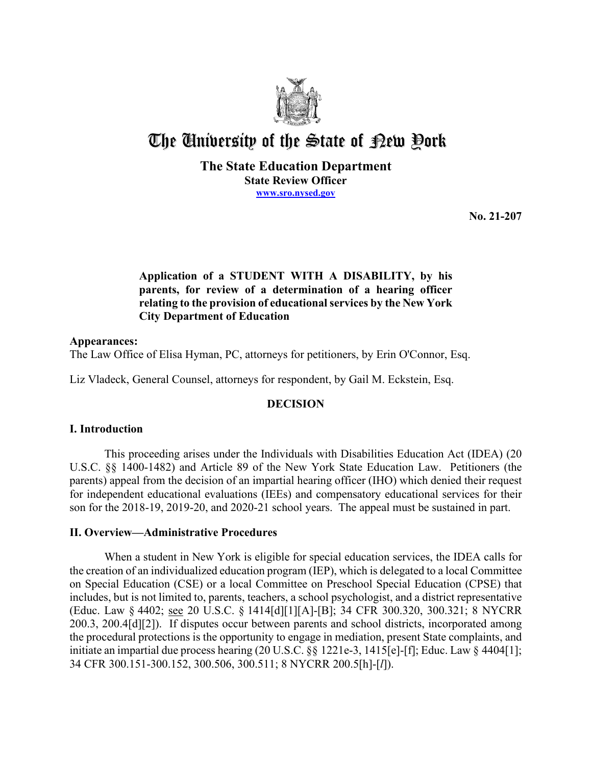

# The University of the State of Pew Pork

## **The State Education Department State Review Officer [www.sro.nysed.gov](http://www.sro.nysed.gov/)**

**No. 21-207** 

# **relating to the provision of educational services by the New York Application of a STUDENT WITH A DISABILITY, by his parents, for review of a determination of a hearing officer City Department of Education**

## **Appearances:**

The Law Office of Elisa Hyman, PC, attorneys for petitioners, by Erin O'Connor, Esq.

Liz Vladeck, General Counsel, attorneys for respondent, by Gail M. Eckstein, Esq.

# **DECISION**

# **I. Introduction**

 This proceeding arises under the Individuals with Disabilities Education Act (IDEA) (20 U.S.C. §§ 1400-1482) and Article 89 of the New York State Education Law. Petitioners (the parents) appeal from the decision of an impartial hearing officer (IHO) which denied their request for independent educational evaluations (IEEs) and compensatory educational services for their son for the 2018-19, 2019-20, and 2020-21 school years. The appeal must be sustained in part.

# **II. Overview—Administrative Procedures**

 the creation of an individualized education program (IEP), which is delegated to a local Committee includes, but is not limited to, parents, teachers, a school psychologist, and a district representative (Educ. Law § 4402; see 20 U.S.C. § 1414[d][1][A]-[B]; 34 CFR 300.320, 300.321; 8 NYCRR When a student in New York is eligible for special education services, the IDEA calls for on Special Education (CSE) or a local Committee on Preschool Special Education (CPSE) that 200.3, 200.4[d][2]). If disputes occur between parents and school districts, incorporated among the procedural protections is the opportunity to engage in mediation, present State complaints, and initiate an impartial due process hearing (20 U.S.C. §§ 1221e-3, 1415[e]-[f]; Educ. Law § 4404[1]; 34 CFR 300.151-300.152, 300.506, 300.511; 8 NYCRR 200.5[h]-[*l*]).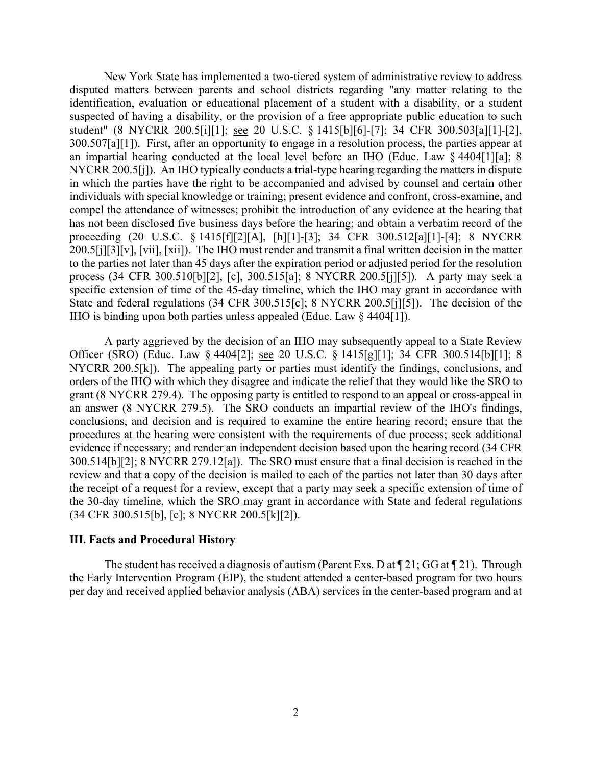disputed matters between parents and school districts regarding "any matter relating to the 300.507[a][1]). First, after an opportunity to engage in a resolution process, the parties appear at NYCRR 200.5[j]). An IHO typically conducts a trial-type hearing regarding the matters in dispute process (34 CFR 300.510[b][2], [c], 300.515[a]; 8 NYCRR 200.5[j][5]). A party may seek a IHO is binding upon both parties unless appealed (Educ. Law § 4404[1]). New York State has implemented a two-tiered system of administrative review to address identification, evaluation or educational placement of a student with a disability, or a student suspected of having a disability, or the provision of a free appropriate public education to such student" (8 NYCRR 200.5[i][1]; see 20 U.S.C. § 1415[b][6]-[7]; 34 CFR 300.503[a][1]-[2], an impartial hearing conducted at the local level before an IHO (Educ. Law § 4404[1][a]; 8 in which the parties have the right to be accompanied and advised by counsel and certain other individuals with special knowledge or training; present evidence and confront, cross-examine, and compel the attendance of witnesses; prohibit the introduction of any evidence at the hearing that has not been disclosed five business days before the hearing; and obtain a verbatim record of the proceeding (20 U.S.C. § 1415[f][2][A], [h][1]-[3]; 34 CFR 300.512[a][1]-[4]; 8 NYCRR 200.5[j][3][v], [vii], [xii]). The IHO must render and transmit a final written decision in the matter to the parties not later than 45 days after the expiration period or adjusted period for the resolution specific extension of time of the 45-day timeline, which the IHO may grant in accordance with State and federal regulations (34 CFR 300.515[c]; 8 NYCRR 200.5[j][5]). The decision of the

Officer (SRO) (Educ. Law § 4404[2]; <u>see</u> 20 U.S.C. § 1415[g][1]; 34 CFR 300.514[b][1]; 8 NYCRR 200.5[k]). The appealing party or parties must identify the findings, conclusions, and 300.514[b][2]; 8 NYCRR 279.12[a]). The SRO must ensure that a final decision is reached in the review and that a copy of the decision is mailed to each of the parties not later than 30 days after A party aggrieved by the decision of an IHO may subsequently appeal to a State Review orders of the IHO with which they disagree and indicate the relief that they would like the SRO to grant (8 NYCRR 279.4). The opposing party is entitled to respond to an appeal or cross-appeal in an answer (8 NYCRR 279.5). The SRO conducts an impartial review of the IHO's findings, conclusions, and decision and is required to examine the entire hearing record; ensure that the procedures at the hearing were consistent with the requirements of due process; seek additional evidence if necessary; and render an independent decision based upon the hearing record (34 CFR the receipt of a request for a review, except that a party may seek a specific extension of time of the 30-day timeline, which the SRO may grant in accordance with State and federal regulations (34 CFR 300.515[b], [c]; 8 NYCRR 200.5[k][2]).

#### **III. Facts and Procedural History**

The student has received a diagnosis of autism (Parent Exs. D at  $\P$  21; GG at  $\P$  21). Through per day and received applied behavior analysis (ABA) services in the center-based program and at the Early Intervention Program (EIP), the student attended a center-based program for two hours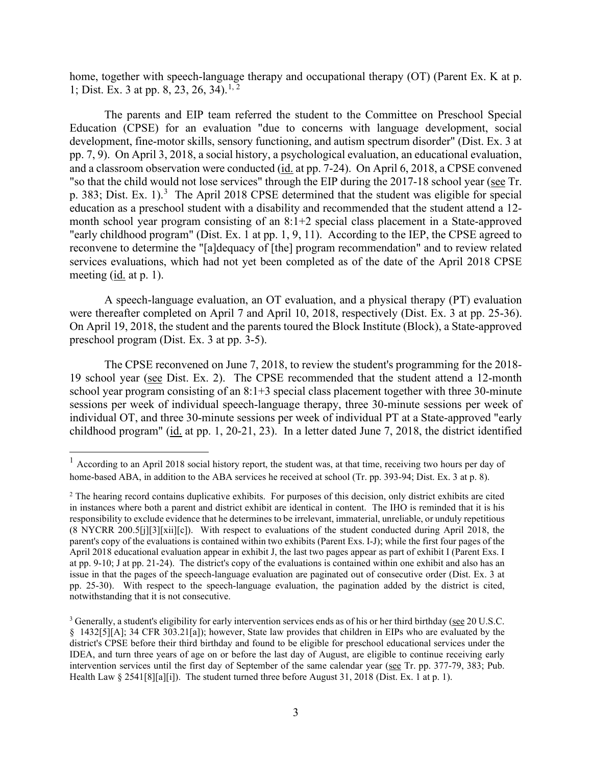home, together with speech-language therapy and occupational therapy (OT) (Parent Ex. K at p. 1; Dist. Ex. 3 at pp. 8, 23, 26, 34).<sup>[1,](#page-2-0) [2](#page-2-1)</sup>

 pp. 7, 9). On April 3, 2018, a social history, a psychological evaluation, an educational evaluation, and a classroom observation were conducted (id. at pp. 7-24). On April 6, 2018, a CPSE convened "so that the child would not lose services" through the EIP during the 2017-18 school year (see Tr. p. 383; Dist. Ex. 1).<sup>3</sup> The April 2018 CPSE determined that the student was eligible for special month school year program consisting of an 8:1+2 special class placement in a State-approved "early childhood program" (Dist. Ex. 1 at pp. 1, 9, 11). According to the IEP, the CPSE agreed to meeting (id. at p. 1). The parents and EIP team referred the student to the Committee on Preschool Special Education (CPSE) for an evaluation "due to concerns with language development, social development, fine-motor skills, sensory functioning, and autism spectrum disorder" (Dist. Ex. 3 at education as a preschool student with a disability and recommended that the student attend a 12 reconvene to determine the "[a]dequacy of [the] program recommendation" and to review related services evaluations, which had not yet been completed as of the date of the April 2018 CPSE

 A speech-language evaluation, an OT evaluation, and a physical therapy (PT) evaluation were thereafter completed on April 7 and April 10, 2018, respectively (Dist. Ex. 3 at pp. 25-36). On April 19, 2018, the student and the parents toured the Block Institute (Block), a State-approved preschool program (Dist. Ex. 3 at pp. 3-5).

19 school year (see Dist. Ex. 2). The CPSE recommended that the student attend a 12-month individual OT, and three 30-minute sessions per week of individual PT at a State-approved "early childhood program" (id. at pp. 1, 20-21, 23). In a letter dated June 7, 2018, the district identified The CPSE reconvened on June 7, 2018, to review the student's programming for the 2018 school year program consisting of an 8:1+3 special class placement together with three 30-minute sessions per week of individual speech-language therapy, three 30-minute sessions per week of

<span id="page-2-0"></span> $<sup>1</sup>$  According to an April 2018 social history report, the student was, at that time, receiving two hours per day of</sup> home-based ABA, in addition to the ABA services he received at school (Tr. pp. 393-94; Dist. Ex. 3 at p. 8).

<span id="page-2-1"></span> in instances where both a parent and district exhibit are identical in content. The IHO is reminded that it is his  $(8 \text{ NYCRR } 200.5[\text{j}][3][\text{xii}][c])$ . With respect to evaluations of the student conducted during April 2018, the April 2018 educational evaluation appear in exhibit J, the last two pages appear as part of exhibit I (Parent Exs. I pp. 25-30). With respect to the speech-language evaluation, the pagination added by the district is cited, <sup>2</sup> The hearing record contains duplicative exhibits. For purposes of this decision, only district exhibits are cited responsibility to exclude evidence that he determines to be irrelevant, immaterial, unreliable, or unduly repetitious parent's copy of the evaluations is contained within two exhibits (Parent Exs. I-J); while the first four pages of the at pp. 9-10; J at pp. 21-24). The district's copy of the evaluations is contained within one exhibit and also has an issue in that the pages of the speech-language evaluation are paginated out of consecutive order (Dist. Ex. 3 at notwithstanding that it is not consecutive.

<span id="page-2-2"></span> § 1432[5][A]; 34 CFR 303.21[a]); however, State law provides that children in EIPs who are evaluated by the Health Law  $\S 2541[8][a][i]$ ). The student turned three before August 31, 2018 (Dist. Ex. 1 at p. 1). <sup>3</sup> Generally, a student's eligibility for early intervention services ends as of his or her third birthday (see 20 U.S.C. district's CPSE before their third birthday and found to be eligible for preschool educational services under the IDEA, and turn three years of age on or before the last day of August, are eligible to continue receiving early intervention services until the first day of September of the same calendar year (see Tr. pp. 377-79, 383; Pub.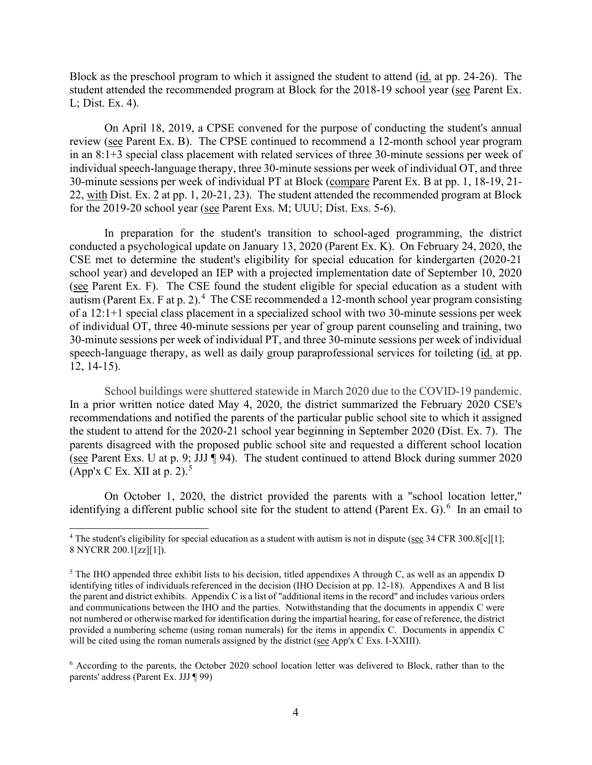Block as the preschool program to which it assigned the student to attend (*id.* at pp. 24-26). The student attended the recommended program at Block for the 2018-19 school year (see Parent Ex. L; Dist. Ex. 4).

review (see Parent Ex. B). The CPSE continued to recommend a 12-month school year program in an 8:1+3 special class placement with related services of three 30-minute sessions per week of 30-minute sessions per week of individual PT at Block (compare Parent Ex. B at pp. 1, 18-19, 21- 22, with Dist. Ex. 2 at pp. 1, 20-21, 23). The student attended the recommended program at Block On April 18, 2019, a CPSE convened for the purpose of conducting the student's annual individual speech-language therapy, three 30-minute sessions per week of individual OT, and three for the 2019-20 school year (see Parent Exs. M; UUU; Dist. Exs. 5-6).

 conducted a psychological update on January 13, 2020 (Parent Ex. K). On February 24, 2020, the autism (Parent Ex. F at p. 2).<sup>[4](#page-3-0)</sup> The CSE recommended a 12-month school year program consisting of a 12:1+1 special class placement in a specialized school with two 30-minute sessions per week speech-language therapy, as well as daily group paraprofessional services for toileting (*id.* at pp. In preparation for the student's transition to school-aged programming, the district CSE met to determine the student's eligibility for special education for kindergarten (2020-21 school year) and developed an IEP with a projected implementation date of September 10, 2020 (see Parent Ex. F). The CSE found the student eligible for special education as a student with of individual OT, three 40-minute sessions per year of group parent counseling and training, two 30-minute sessions per week of individual PT, and three 30-minute sessions per week of individual 12, 14-15).

School buildings were shuttered statewide in March 2020 due to the COVID-19 pandemic. the student to attend for the 2020-21 school year beginning in September 2020 (Dist. Ex. 7). The (see Parent Exs. U at p. 9; JJJ  $\P$  94). The student continued to attend Block during summer 2020 (App'x C Ex. XII at p. 2).<sup>[5](#page-3-1)</sup> In a prior written notice dated May 4, 2020, the district summarized the February 2020 CSE's recommendations and notified the parents of the particular public school site to which it assigned parents disagreed with the proposed public school site and requested a different school location

identifying a different public school site for the student to attend (Parent Ex. G).<sup>[6](#page-3-2)</sup> In an email to On October 1, 2020, the district provided the parents with a "school location letter,"

<span id="page-3-0"></span><sup>&</sup>lt;sup>4</sup> The student's eligibility for special education as a student with autism is not in dispute (see 34 CFR 300.8[c][1]; 8 NYCRR 200.1[zz][1]).

<span id="page-3-1"></span><sup>&</sup>lt;sup>5</sup> The IHO appended three exhibit lists to his decision, titled appendixes A through C, as well as an appendix D identifying titles of individuals referenced in the decision (IHO Decision at pp. 12-18). Appendixes A and B list the parent and district exhibits. Appendix C is a list of "additional items in the record" and includes various orders and communications between the IHO and the parties. Notwithstanding that the documents in appendix C were not numbered or otherwise marked for identification during the impartial hearing, for ease of reference, the district provided a numbering scheme (using roman numerals) for the items in appendix C. Documents in appendix C will be cited using the roman numerals assigned by the district (see App'x C Exs. I-XXIII).

<span id="page-3-2"></span><sup>6</sup> According to the parents, the October 2020 school location letter was delivered to Block, rather than to the parents' address (Parent Ex. JJJ ¶ 99)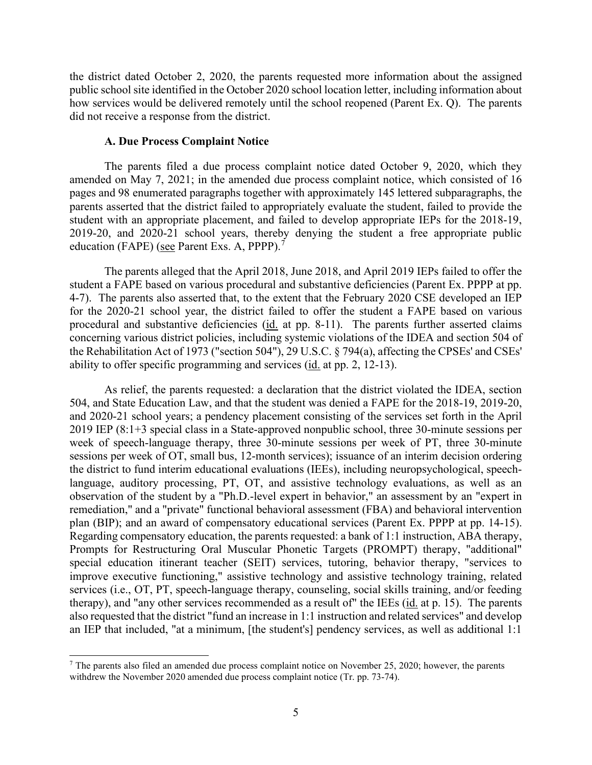how services would be delivered remotely until the school reopened (Parent Ex. Q). The parents the district dated October 2, 2020, the parents requested more information about the assigned public school site identified in the October 2020 school location letter, including information about did not receive a response from the district.

#### **A. Due Process Complaint Notice**

education (FAPE) (see Parent Exs. A, PPPP).<sup>7</sup> The parents filed a due process complaint notice dated October 9, 2020, which they amended on May 7, 2021; in the amended due process complaint notice, which consisted of 16 pages and 98 enumerated paragraphs together with approximately 145 lettered subparagraphs, the parents asserted that the district failed to appropriately evaluate the student, failed to provide the student with an appropriate placement, and failed to develop appropriate IEPs for the 2018-19, 2019-20, and 2020-21 school years, thereby denying the student a free appropriate public

The parents alleged that the April 2018, June 2018, and April 2019 IEPs failed to offer the student a FAPE based on various procedural and substantive deficiencies (Parent Ex. PPPP at pp. 4-7). The parents also asserted that, to the extent that the February 2020 CSE developed an IEP for the 2020-21 school year, the district failed to offer the student a FAPE based on various procedural and substantive deficiencies (id. at pp. 8-11). The parents further asserted claims concerning various district policies, including systemic violations of the IDEA and section 504 of the Rehabilitation Act of 1973 ("section 504"), 29 U.S.C. § 794(a), affecting the CPSEs' and CSEs' ability to offer specific programming and services (id. at pp. 2, 12-13).

 504, and State Education Law, and that the student was denied a FAPE for the 2018-19, 2019-20, services (i.e., OT, PT, speech-language therapy, counseling, social skills training, and/or feeding therapy), and "any other services recommended as a result of" the IEEs (*id.* at p. 15). The parents As relief, the parents requested: a declaration that the district violated the IDEA, section and 2020-21 school years; a pendency placement consisting of the services set forth in the April 2019 IEP (8:1+3 special class in a State-approved nonpublic school, three 30-minute sessions per week of speech-language therapy, three 30-minute sessions per week of PT, three 30-minute sessions per week of OT, small bus, 12-month services); issuance of an interim decision ordering the district to fund interim educational evaluations (IEEs), including neuropsychological, speechlanguage, auditory processing, PT, OT, and assistive technology evaluations, as well as an observation of the student by a "Ph.D.-level expert in behavior," an assessment by an "expert in remediation," and a "private" functional behavioral assessment (FBA) and behavioral intervention plan (BIP); and an award of compensatory educational services (Parent Ex. PPPP at pp. 14-15). Regarding compensatory education, the parents requested: a bank of 1:1 instruction, ABA therapy, Prompts for Restructuring Oral Muscular Phonetic Targets (PROMPT) therapy, "additional" special education itinerant teacher (SEIT) services, tutoring, behavior therapy, "services to improve executive functioning," assistive technology and assistive technology training, related also requested that the district "fund an increase in 1:1 instruction and related services" and develop an IEP that included, "at a minimum, [the student's] pendency services, as well as additional 1:1

<span id="page-4-0"></span> $7$  The parents also filed an amended due process complaint notice on November 25, 2020; however, the parents withdrew the November 2020 amended due process complaint notice (Tr. pp. 73-74).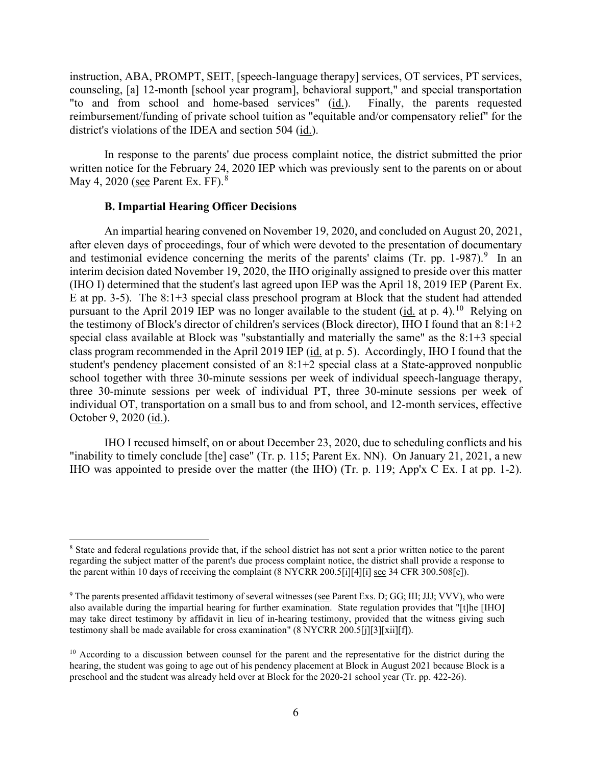"to and from school and home-based services" (id.). Finally, the parents requested reimbursement/funding of private school tuition as "equitable and/or compensatory relief" for the district's violations of the IDEA and section 504  $(\underline{\text{id}}.)$ . instruction, ABA, PROMPT, SEIT, [speech-language therapy] services, OT services, PT services, counseling, [a] 12-month [school year program], behavioral support," and special transportation

 In response to the parents' due process complaint notice, the district submitted the prior May 4, 2020 (see Parent Ex. FF).<sup>[8](#page-5-0)</sup> written notice for the February 24, 2020 IEP which was previously sent to the parents on or about

#### **B. Impartial Hearing Officer Decisions**

and testimonial evidence concerning the merits of the parents' claims (Tr. pp. 1-987).<sup>9</sup> In an E at pp. 3-5). The 8:1+3 special class preschool program at Block that the student had attended pursuant to the April 2019 IEP was no longer available to the student (id. at p. 4).<sup>10</sup> Relying on the testimony of Block's director of children's services (Block director), IHO I found that an 8:1+2 student's pendency placement consisted of an 8:1+2 special class at a State-approved nonpublic An impartial hearing convened on November 19, 2020, and concluded on August 20, 2021, after eleven days of proceedings, four of which were devoted to the presentation of documentary interim decision dated November 19, 2020, the IHO originally assigned to preside over this matter (IHO I) determined that the student's last agreed upon IEP was the April 18, 2019 IEP (Parent Ex. special class available at Block was "substantially and materially the same" as the 8:1+3 special class program recommended in the April 2019 IEP (id. at p. 5). Accordingly, IHO I found that the school together with three 30-minute sessions per week of individual speech-language therapy, three 30-minute sessions per week of individual PT, three 30-minute sessions per week of individual OT, transportation on a small bus to and from school, and 12-month services, effective October 9, 2020 (id.).

 IHO was appointed to preside over the matter (the IHO) (Tr. p. 119; App'x C Ex. I at pp. 1-2). IHO I recused himself, on or about December 23, 2020, due to scheduling conflicts and his "inability to timely conclude [the] case" (Tr. p. 115; Parent Ex. NN). On January 21, 2021, a new

<span id="page-5-0"></span><sup>8</sup> State and federal regulations provide that, if the school district has not sent a prior written notice to the parent regarding the subject matter of the parent's due process complaint notice, the district shall provide a response to the parent within 10 days of receiving the complaint (8 NYCRR 200.5[i][4][i] see 34 CFR 300.508[e]).

<span id="page-5-1"></span> also available during the impartial hearing for further examination. State regulation provides that "[t]he [IHO] may take direct testimony by affidavit in lieu of in-hearing testimony, provided that the witness giving such 9 The parents presented affidavit testimony of several witnesses (see Parent Exs. D; GG; III; JJJ; VVV), who were testimony shall be made available for cross examination" (8 NYCRR 200.5[j][3][xii][f]).

<span id="page-5-2"></span> $10$  According to a discussion between counsel for the parent and the representative for the district during the hearing, the student was going to age out of his pendency placement at Block in August 2021 because Block is a preschool and the student was already held over at Block for the 2020-21 school year (Tr. pp. 422-26).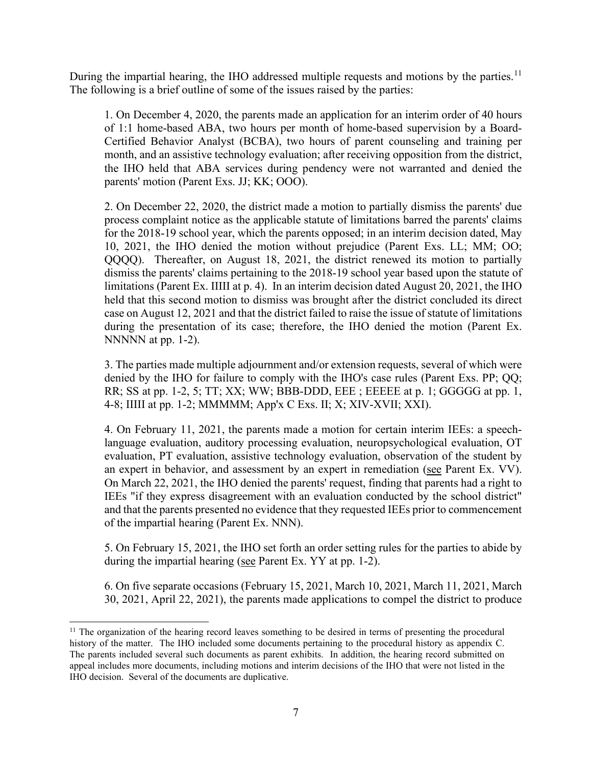During the impartial hearing, the IHO addressed multiple requests and motions by the parties.<sup>[11](#page-6-0)</sup> The following is a brief outline of some of the issues raised by the parties:

1. On December 4, 2020, the parents made an application for an interim order of 40 hours of 1:1 home-based ABA, two hours per month of home-based supervision by a Board-Certified Behavior Analyst (BCBA), two hours of parent counseling and training per month, and an assistive technology evaluation; after receiving opposition from the district, the IHO held that ABA services during pendency were not warranted and denied the parents' motion (Parent Exs. JJ; KK; OOO).

 dismiss the parents' claims pertaining to the 2018-19 school year based upon the statute of limitations (Parent Ex. IIIII at p. 4). In an interim decision dated August 20, 2021, the IHO case on August 12, 2021 and that the district failed to raise the issue of statute of limitations during the presentation of its case; therefore, the IHO denied the motion (Parent Ex. NNNNN at pp. 1-2). 2. On December 22, 2020, the district made a motion to partially dismiss the parents' due process complaint notice as the applicable statute of limitations barred the parents' claims for the 2018-19 school year, which the parents opposed; in an interim decision dated, May 10, 2021, the IHO denied the motion without prejudice (Parent Exs. LL; MM; OO; QQQQ). Thereafter, on August 18, 2021, the district renewed its motion to partially held that this second motion to dismiss was brought after the district concluded its direct

 3. The parties made multiple adjournment and/or extension requests, several of which were denied by the IHO for failure to comply with the IHO's case rules (Parent Exs. PP; QQ; RR; SS at pp. 1-2, 5; TT; XX; WW; BBB-DDD, EEE ; EEEEE at p. 1; GGGGG at pp. 1, 4-8; IIIII at pp. 1-2; MMMMM; App'x C Exs. II; X; XIV-XVII; XXI).

 4. On February 11, 2021, the parents made a motion for certain interim IEEs: a speechan expert in behavior, and assessment by an expert in remediation (see Parent Ex. VV). an expert in behavior, and assessment by an expert in remediation (see Parent Ex. VV).<br>On March 22, 2021, the IHO denied the parents' request, finding that parents had a right to language evaluation, auditory processing evaluation, neuropsychological evaluation, OT evaluation, PT evaluation, assistive technology evaluation, observation of the student by IEEs "if they express disagreement with an evaluation conducted by the school district" and that the parents presented no evidence that they requested IEEs prior to commencement of the impartial hearing (Parent Ex. NNN).

 5. On February 15, 2021, the IHO set forth an order setting rules for the parties to abide by during the impartial hearing (see Parent Ex. YY at pp. 1-2).

 30, 2021, April 22, 2021), the parents made applications to compel the district to produce 6. On five separate occasions (February 15, 2021, March 10, 2021, March 11, 2021, March

<span id="page-6-0"></span> history of the matter. The IHO included some documents pertaining to the procedural history as appendix C. IHO decision. Several of the documents are duplicative. <sup>11</sup> The organization of the hearing record leaves something to be desired in terms of presenting the procedural The parents included several such documents as parent exhibits. In addition, the hearing record submitted on appeal includes more documents, including motions and interim decisions of the IHO that were not listed in the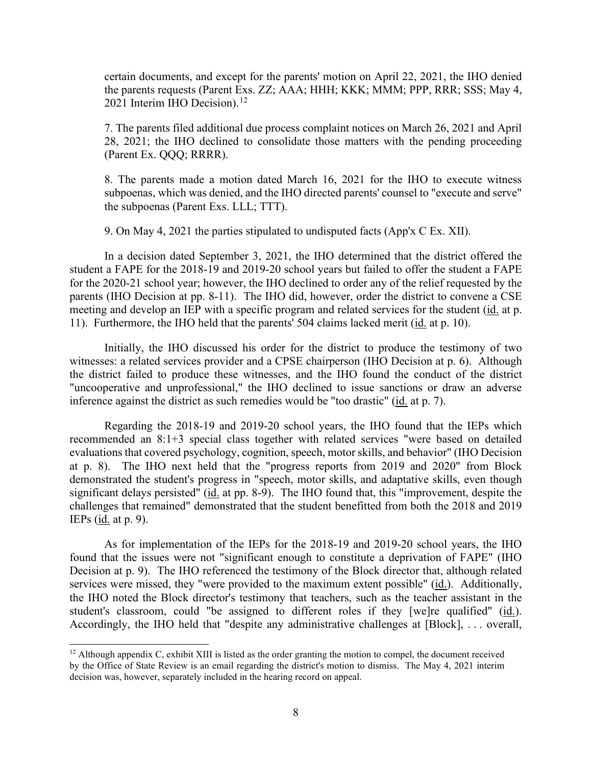certain documents, and except for the parents' motion on April 22, 2021, the IHO denied the parents requests (Parent Exs. ZZ; AAA; HHH; KKK; MMM; PPP, RRR; SSS; May 4, 2021 Interim IHO Decision).<sup>[12](#page-7-0)</sup>

7. The parents filed additional due process complaint notices on March 26, 2021 and April 28, 2021; the IHO declined to consolidate those matters with the pending proceeding (Parent Ex. QQQ; RRRR).

 8. The parents made a motion dated March 16, 2021 for the IHO to execute witness subpoenas, which was denied, and the IHO directed parents' counsel to "execute and serve" the subpoenas (Parent Exs. LLL; TTT).

9. On May 4, 2021 the parties stipulated to undisputed facts (App'x C Ex. XII).

 student a FAPE for the 2018-19 and 2019-20 school years but failed to offer the student a FAPE meeting and develop an IEP with a specific program and related services for the student (id. at p. 11). Furthermore, the IHO held that the parents' 504 claims lacked merit (*id.* at p. 10). In a decision dated September 3, 2021, the IHO determined that the district offered the for the 2020-21 school year; however, the IHO declined to order any of the relief requested by the parents (IHO Decision at pp. 8-11). The IHO did, however, order the district to convene a CSE

 witnesses: a related services provider and a CPSE chairperson (IHO Decision at p. 6). Although inference against the district as such remedies would be "too drastic" (id. at p. 7). Initially, the IHO discussed his order for the district to produce the testimony of two the district failed to produce these witnesses, and the IHO found the conduct of the district "uncooperative and unprofessional," the IHO declined to issue sanctions or draw an adverse

significant delays persisted" (id. at pp. 8-9). The IHO found that, this "improvement, despite the IEPs (<u>id.</u> at p. 9). Regarding the 2018-19 and 2019-20 school years, the IHO found that the IEPs which recommended an 8:1+3 special class together with related services "were based on detailed evaluations that covered psychology, cognition, speech, motor skills, and behavior" (IHO Decision at p. 8). The IHO next held that the "progress reports from 2019 and 2020" from Block demonstrated the student's progress in "speech, motor skills, and adaptative skills, even though challenges that remained" demonstrated that the student benefitted from both the 2018 and 2019

 As for implementation of the IEPs for the 2018-19 and 2019-20 school years, the IHO student's classroom, could "be assigned to different roles if they [we]re qualified" (id.). student's classroom, could "be assigned to different roles if they [we]re qualified" (id.).<br>Accordingly, the IHO held that "despite any administrative challenges at [Block], ... overall, found that the issues were not "significant enough to constitute a deprivation of FAPE" (IHO Decision at p. 9). The IHO referenced the testimony of the Block director that, although related services were missed, they "were provided to the maximum extent possible" (id.). Additionally, the IHO noted the Block director's testimony that teachers, such as the teacher assistant in the

<span id="page-7-0"></span> $12$  Although appendix C, exhibit XIII is listed as the order granting the motion to compel, the document received decision was, however, separately included in the hearing record on appeal. by the Office of State Review is an email regarding the district's motion to dismiss. The May 4, 2021 interim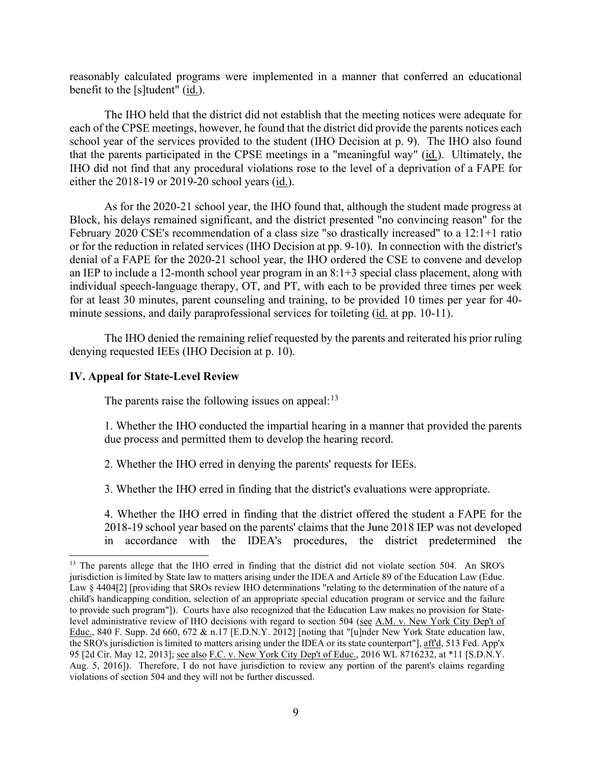reasonably calculated programs were implemented in a manner that conferred an educational benefit to the [s]tudent" (id.).

 each of the CPSE meetings, however, he found that the district did provide the parents notices each school year of the services provided to the student (IHO Decision at p. 9). The IHO also found that the parents participated in the CPSE meetings in a "meaningful way" (id.). Ultimately, the The IHO held that the district did not establish that the meeting notices were adequate for IHO did not find that any procedural violations rose to the level of a deprivation of a FAPE for either the 2018-19 or 2019-20 school years (id.).

 denial of a FAPE for the 2020-21 school year, the IHO ordered the CSE to convene and develop an IEP to include a 12-month school year program in an 8:1+3 special class placement, along with As for the 2020-21 school year, the IHO found that, although the student made progress at Block, his delays remained significant, and the district presented "no convincing reason" for the February 2020 CSE's recommendation of a class size "so drastically increased" to a 12:1+1 ratio or for the reduction in related services (IHO Decision at pp. 9-10). In connection with the district's individual speech-language therapy, OT, and PT, with each to be provided three times per week for at least 30 minutes, parent counseling and training, to be provided 10 times per year for 40 minute sessions, and daily paraprofessional services for toileting (id. at pp. 10-11).

The IHO denied the remaining relief requested by the parents and reiterated his prior ruling denying requested IEEs (IHO Decision at p. 10).

#### **IV. Appeal for State-Level Review**

The parents raise the following issues on appeal: $13$ 

1. Whether the IHO conducted the impartial hearing in a manner that provided the parents due process and permitted them to develop the hearing record.

2. Whether the IHO erred in denying the parents' requests for IEEs.

3. Whether the IHO erred in finding that the district's evaluations were appropriate.

4. Whether the IHO erred in finding that the district offered the student a FAPE for the 2018-19 school year based on the parents' claims that the June 2018 IEP was not developed in accordance with the IDEA's procedures, the district predetermined the

<span id="page-8-0"></span> jurisdiction is limited by State law to matters arising under the IDEA and Article 89 of the Education Law (Educ. Law § 4404[2] [providing that SROs review IHO determinations "relating to the determination of the nature of a child's handicapping condition, selection of an appropriate special education program or service and the failure to provide such program"]). Courts have also recognized that the Education Law makes no provision for State- Aug. 5, 2016]). Therefore, I do not have jurisdiction to review any portion of the parent's claims regarding <sup>13</sup> The parents allege that the IHO erred in finding that the district did not violate section 504. An SRO's level administrative review of IHO decisions with regard to section 504 (see A.M. v. New York City Dep't of Educ., 840 F. Supp. 2d 660, 672 & n.17 [E.D.N.Y. 2012] [noting that "[u]nder New York State education law, the SRO's jurisdiction is limited to matters arising under the IDEA or its state counterpart"], aff'd, 513 Fed. App'x 95 [2d Cir. May 12, 2013]; see also F.C. v. New York City Dep't of Educ., 2016 WL 8716232, at \*11 [S.D.N.Y. violations of section 504 and they will not be further discussed.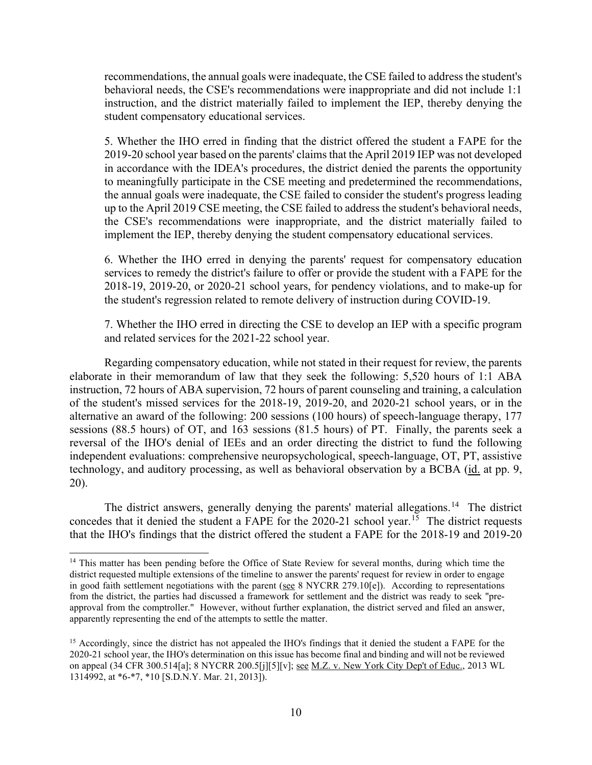recommendations, the annual goals were inadequate, the CSE failed to address the student's behavioral needs, the CSE's recommendations were inappropriate and did not include 1:1 instruction, and the district materially failed to implement the IEP, thereby denying the student compensatory educational services.

5. Whether the IHO erred in finding that the district offered the student a FAPE for the 2019-20 school year based on the parents' claims that the April 2019 IEP was not developed in accordance with the IDEA's procedures, the district denied the parents the opportunity to meaningfully participate in the CSE meeting and predetermined the recommendations, the annual goals were inadequate, the CSE failed to consider the student's progress leading up to the April 2019 CSE meeting, the CSE failed to address the student's behavioral needs, the CSE's recommendations were inappropriate, and the district materially failed to implement the IEP, thereby denying the student compensatory educational services.

 services to remedy the district's failure to offer or provide the student with a FAPE for the 6. Whether the IHO erred in denying the parents' request for compensatory education 2018-19, 2019-20, or 2020-21 school years, for pendency violations, and to make-up for the student's regression related to remote delivery of instruction during COVID-19.

 7. Whether the IHO erred in directing the CSE to develop an IEP with a specific program and related services for the 2021-22 school year.

 elaborate in their memorandum of law that they seek the following: 5,520 hours of 1:1 ABA sessions (88.5 hours) of OT, and 163 sessions (81.5 hours) of PT. Finally, the parents seek a reversal of the IHO's denial of IEEs and an order directing the district to fund the following technology, and auditory processing, as well as behavioral observation by a BCBA (id. at pp. 9, Regarding compensatory education, while not stated in their request for review, the parents instruction, 72 hours of ABA supervision, 72 hours of parent counseling and training, a calculation of the student's missed services for the 2018-19, 2019-20, and 2020-21 school years, or in the alternative an award of the following: 200 sessions (100 hours) of speech-language therapy, 177 independent evaluations: comprehensive neuropsychological, speech-language, OT, PT, assistive 20).

The district answers, generally denying the parents' material allegations.<sup>14</sup> The district concedes that it denied the student a FAPE for the 2020-21 school year.<sup>15</sup> The district requests that the IHO's findings that the district offered the student a FAPE for the 2018-19 and 2019-20

<span id="page-9-0"></span> approval from the comptroller." However, without further explanation, the district served and filed an answer, <sup>14</sup> This matter has been pending before the Office of State Review for several months, during which time the district requested multiple extensions of the timeline to answer the parents' request for review in order to engage in good faith settlement negotiations with the parent (see 8 NYCRR 279.10[e]). According to representations from the district, the parties had discussed a framework for settlement and the district was ready to seek "preapparently representing the end of the attempts to settle the matter.

<span id="page-9-1"></span> 2020-21 school year, the IHO's determination on this issue has become final and binding and will not be reviewed <sup>15</sup> Accordingly, since the district has not appealed the IHO's findings that it denied the student a FAPE for the on appeal (34 CFR 300.514[a]; 8 NYCRR 200.5[j][5][v]; see M.Z. v. New York City Dep't of Educ., 2013 WL 1314992, at \*6-\*7, \*10 [S.D.N.Y. Mar. 21, 2013]).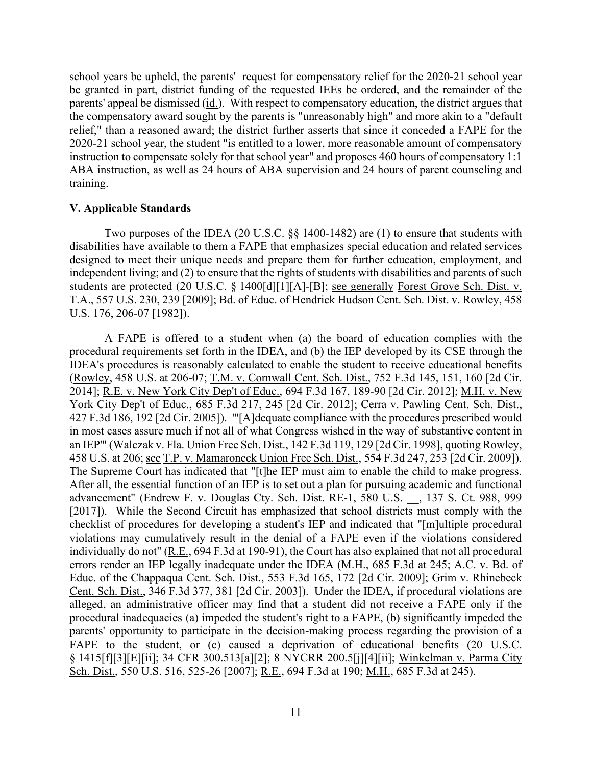school years be upheld, the parents' request for compensatory relief for the 2020-21 school year 2020-21 school year, the student "is entitled to a lower, more reasonable amount of compensatory be granted in part, district funding of the requested IEEs be ordered, and the remainder of the parents' appeal be dismissed (id.). With respect to compensatory education, the district argues that the compensatory award sought by the parents is "unreasonably high" and more akin to a "default relief," than a reasoned award; the district further asserts that since it conceded a FAPE for the instruction to compensate solely for that school year" and proposes 460 hours of compensatory 1:1 ABA instruction, as well as 24 hours of ABA supervision and 24 hours of parent counseling and training.

## **V. Applicable Standards**

Two purposes of the IDEA (20 U.S.C. §§ 1400-1482) are (1) to ensure that students with disabilities have available to them a FAPE that emphasizes special education and related services designed to meet their unique needs and prepare them for further education, employment, and independent living; and (2) to ensure that the rights of students with disabilities and parents of such students are protected (20 U.S.C. § 1400[d][1][A]-[B]; see generally Forest Grove Sch. Dist. v. T.A., 557 U.S. 230, 239 [2009]; Bd. of Educ. of Hendrick Hudson Cent. Sch. Dist. v. Rowley, 458 U.S. 176, 206-07 [1982]).

 A FAPE is offered to a student when (a) the board of education complies with the 2014]; <u>R.E. v. New York City Dep't of Educ.</u>, 694 F.3d 167, 189-90 [2d Cir. 2012]; <u>M.H. v. New</u> 458 U.S. at 206; see T.P. v. Mamaroneck Union Free Sch. Dist., 554 F.3d 247, 253 [2d Cir. 2009]). The Supreme Court has indicated that "[t]he IEP must aim to enable the child to make progress. checklist of procedures for developing a student's IEP and indicated that "[m]ultiple procedural parents' opportunity to participate in the decision-making process regarding the provision of a procedural requirements set forth in the IDEA, and (b) the IEP developed by its CSE through the IDEA's procedures is reasonably calculated to enable the student to receive educational benefits (Rowley, 458 U.S. at 206-07; T.M. v. Cornwall Cent. Sch. Dist., 752 F.3d 145, 151, 160 [2d Cir. York City Dep't of Educ., 685 F.3d 217, 245 [2d Cir. 2012]; Cerra v. Pawling Cent. Sch. Dist., 427 F.3d 186, 192 [2d Cir. 2005]). "'[A]dequate compliance with the procedures prescribed would in most cases assure much if not all of what Congress wished in the way of substantive content in an IEP'" (Walczak v. Fla. Union Free Sch. Dist., 142 F.3d 119, 129 [2d Cir. 1998], quoting Rowley, After all, the essential function of an IEP is to set out a plan for pursuing academic and functional advancement" (Endrew F. v. Douglas Cty. Sch. Dist. RE-1, 580 U.S. , 137 S. Ct. 988, 999 [2017]). While the Second Circuit has emphasized that school districts must comply with the violations may cumulatively result in the denial of a FAPE even if the violations considered individually do not" (R.E., 694 F.3d at 190-91), the Court has also explained that not all procedural errors render an IEP legally inadequate under the IDEA (M.H., 685 F.3d at 245; A.C. v. Bd. of Educ. of the Chappaqua Cent. Sch. Dist., 553 F.3d 165, 172 [2d Cir. 2009]; Grim v. Rhinebeck Cent. Sch. Dist., 346 F.3d 377, 381 [2d Cir. 2003]). Under the IDEA, if procedural violations are alleged, an administrative officer may find that a student did not receive a FAPE only if the procedural inadequacies (a) impeded the student's right to a FAPE, (b) significantly impeded the FAPE to the student, or (c) caused a deprivation of educational benefits (20 U.S.C. § 1415[f][3][E][ii]; 34 CFR 300.513[a][2]; 8 NYCRR 200.5[j][4][ii]; Winkelman v. Parma City Sch. Dist., 550 U.S. 516, 525-26 [2007]; R.E., 694 F.3d at 190; M.H., 685 F.3d at 245).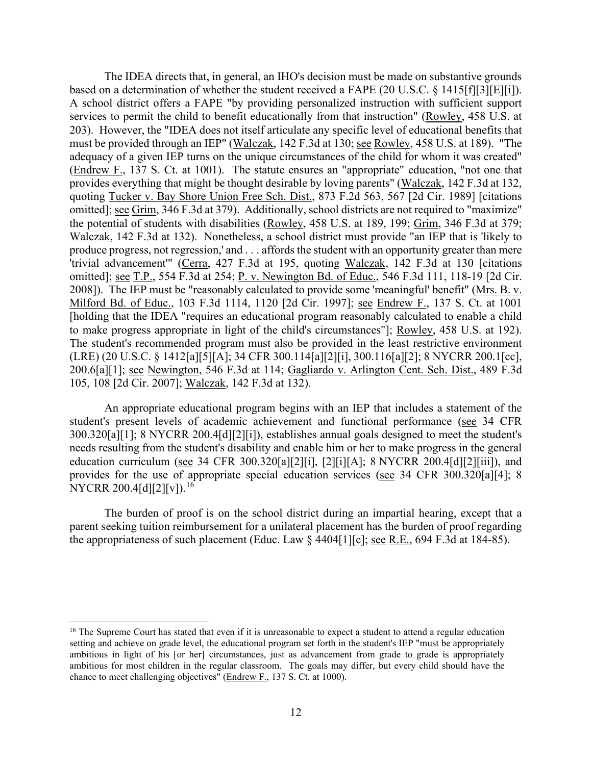based on a determination of whether the student received a FAPE (20 U.S.C.  $\S$  1415[f][3][E][i]). adequacy of a given IEP turns on the unique circumstances of the child for whom it was created" produce progress, not regression,' and . . . affords the student with an opportunity greater than mere 200.6[a][1]; <u>see Newington,</u> 546 F.3d at 114; Gagliardo v. Arlington Cent. Sch. Dist., 489 F.3d The IDEA directs that, in general, an IHO's decision must be made on substantive grounds A school district offers a FAPE "by providing personalized instruction with sufficient support services to permit the child to benefit educationally from that instruction" (Rowley, 458 U.S. at 203). However, the "IDEA does not itself articulate any specific level of educational benefits that must be provided through an IEP" (Walczak, 142 F.3d at 130; see Rowley, 458 U.S. at 189). "The (Endrew F., 137 S. Ct. at 1001). The statute ensures an "appropriate" education, "not one that provides everything that might be thought desirable by loving parents" (Walczak, 142 F.3d at 132, quoting Tucker v. Bay Shore Union Free Sch. Dist., 873 F.2d 563, 567 [2d Cir. 1989] [citations omitted]; see Grim, 346 F.3d at 379). Additionally, school districts are not required to "maximize" the potential of students with disabilities (Rowley, 458 U.S. at 189, 199; Grim, 346 F.3d at 379; Walczak, 142 F.3d at 132). Nonetheless, a school district must provide "an IEP that is 'likely to 'trivial advancement'" (Cerra, 427 F.3d at 195, quoting Walczak, 142 F.3d at 130 [citations omitted]; <u>see T.P.</u>, 554 F.3d at 254; P. v. Newington Bd. of Educ., 546 F.3d 111, 118-19 [2d Cir. 2008]). The IEP must be "reasonably calculated to provide some 'meaningful' benefit" (Mrs. B. v. Milford Bd. of Educ., 103 F.3d 1114, 1120 [2d Cir. 1997]; see Endrew F., 137 S. Ct. at 1001 [holding that the IDEA "requires an educational program reasonably calculated to enable a child to make progress appropriate in light of the child's circumstances"]; Rowley, 458 U.S. at 192). The student's recommended program must also be provided in the least restrictive environment (LRE) (20 U.S.C. § 1412[a][5][A]; 34 CFR 300.114[a][2][i], 300.116[a][2]; 8 NYCRR 200.1[cc], 105, 108 [2d Cir. 2007]; Walczak, 142 F.3d at 132).

An appropriate educational program begins with an IEP that includes a statement of the student's present levels of academic achievement and functional performance (see 34 CFR 300.320[a][1]; 8 NYCRR 200.4[d][2][i]), establishes annual goals designed to meet the student's needs resulting from the student's disability and enable him or her to make progress in the general education curriculum (see 34 CFR 300.320[a][2][i], [2][i][A]; 8 NYCRR 200.4[d][2][iii]), and provides for the use of appropriate special education services (see 34 CFR 300.320[a][4]; 8 NYCRR 200.4[d][2][v]).<sup>[16](#page-11-0)</sup>

the appropriateness of such placement (Educ. Law  $\S$  4404[1][c]; <u>see R.E.</u>, 694 F.3d at 184-85). The burden of proof is on the school district during an impartial hearing, except that a parent seeking tuition reimbursement for a unilateral placement has the burden of proof regarding

<span id="page-11-0"></span> ambitious in light of his [or her] circumstances, just as advancement from grade to grade is appropriately <sup>16</sup> The Supreme Court has stated that even if it is unreasonable to expect a student to attend a regular education setting and achieve on grade level, the educational program set forth in the student's IEP "must be appropriately ambitious for most children in the regular classroom. The goals may differ, but every child should have the chance to meet challenging objectives" (Endrew F., 137 S. Ct. at 1000).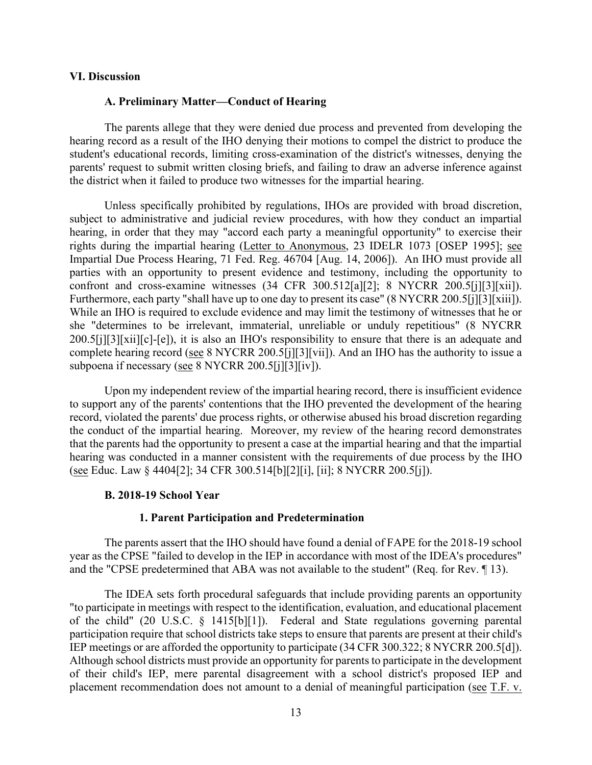#### **VI. Discussion**

#### **A. Preliminary Matter—Conduct of Hearing**

 student's educational records, limiting cross-examination of the district's witnesses, denying the parents' request to submit written closing briefs, and failing to draw an adverse inference against The parents allege that they were denied due process and prevented from developing the hearing record as a result of the IHO denying their motions to compel the district to produce the the district when it failed to produce two witnesses for the impartial hearing.

Furthermore, each party "shall have up to one day to present its case" (8 NYCRR 200.5[j][3][xiii]). Furthermore, each party "shall have up to one day to present its case" (8 NYCRR 200.5[j][3][xiii]). While an IHO is required to exclude evidence and may limit the testimony of witnesses that he or Unless specifically prohibited by regulations, IHOs are provided with broad discretion, subject to administrative and judicial review procedures, with how they conduct an impartial hearing, in order that they may "accord each party a meaningful opportunity" to exercise their rights during the impartial hearing (Letter to Anonymous, 23 IDELR 1073 [OSEP 1995]; see Impartial Due Process Hearing, 71 Fed. Reg. 46704 [Aug. 14, 2006]). An IHO must provide all parties with an opportunity to present evidence and testimony, including the opportunity to confront and cross-examine witnesses (34 CFR 300.512[a][2]; 8 NYCRR 200.5[j][3][xii]). she "determines to be irrelevant, immaterial, unreliable or unduly repetitious" (8 NYCRR 200.5[j][3][xii][c]-[e]), it is also an IHO's responsibility to ensure that there is an adequate and complete hearing record (see 8 NYCRR 200.5[j][3][vii]). And an IHO has the authority to issue a subpoena if necessary (see 8 NYCRR 200.5[j][3][iv]).

 Upon my independent review of the impartial hearing record, there is insufficient evidence to support any of the parents' contentions that the IHO prevented the development of the hearing hearing was conducted in a manner consistent with the requirements of due process by the IHO record, violated the parents' due process rights, or otherwise abused his broad discretion regarding the conduct of the impartial hearing. Moreover, my review of the hearing record demonstrates that the parents had the opportunity to present a case at the impartial hearing and that the impartial (see Educ. Law § 4404[2]; 34 CFR 300.514[b][2][i], [ii]; 8 NYCRR 200.5[j]).

#### **B. 2018-19 School Year**

#### **1. Parent Participation and Predetermination**

 and the "CPSE predetermined that ABA was not available to the student" (Req. for Rev. ¶ 13). The parents assert that the IHO should have found a denial of FAPE for the 2018-19 school year as the CPSE "failed to develop in the IEP in accordance with most of the IDEA's procedures"

 The IDEA sets forth procedural safeguards that include providing parents an opportunity of the child" (20 U.S.C. § 1415[b][1]). Federal and State regulations governing parental of their child's IEP, mere parental disagreement with a school district's proposed IEP and "to participate in meetings with respect to the identification, evaluation, and educational placement participation require that school districts take steps to ensure that parents are present at their child's IEP meetings or are afforded the opportunity to participate (34 CFR 300.322; 8 NYCRR 200.5[d]). Although school districts must provide an opportunity for parents to participate in the development placement recommendation does not amount to a denial of meaningful participation (see T.F. v.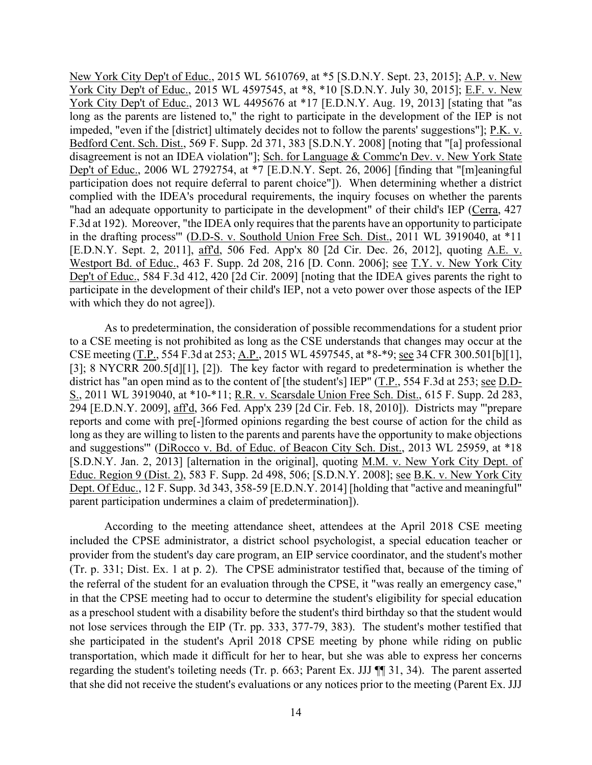New York City Dep't of Educ., 2015 WL 5610769, at \*5 [S.D.N.Y. Sept. 23, 2015]; A.P. v. New York City Dep't of Educ., 2015 WL 4597545, at \*8, \*10 [S.D.N.Y. July 30, 2015]; E.F. v. New York City Dep't of Educ., 2013 WL 4495676 at \*17 [E.D.N.Y. Aug. 19, 2013] [stating that "as long as the parents are listened to," the right to participate in the development of the IEP is not impeded, "even if the [district] ultimately decides not to follow the parents' suggestions"]; P.K. v. Bedford Cent. Sch. Dist., 569 F. Supp. 2d 371, 383 [S.D.N.Y. 2008] [noting that "[a] professional disagreement is not an IDEA violation"]; Sch. for Language & Commc'n Dev. v. New York State Dep't of Educ., 2006 WL 2792754, at \*7 [E.D.N.Y. Sept. 26, 2006] [finding that "[m]eaningful participation does not require deferral to parent choice"]). When determining whether a district complied with the IDEA's procedural requirements, the inquiry focuses on whether the parents "had an adequate opportunity to participate in the development" of their child's IEP (Cerra, 427 F.3d at 192). Moreover, "the IDEA only requires that the parents have an opportunity to participate in the drafting process'" (D.D-S. v. Southold Union Free Sch. Dist., 2011 WL 3919040, at \*11 [E.D.N.Y. Sept. 2, 2011], affd, 506 Fed. App'x 80 [2d Cir. Dec. 26, 2012], quoting A.E. v. Westport Bd. of Educ., 463 F. Supp. 2d 208, 216 [D. Conn. 2006]; see T.Y. v. New York City Dep't of Educ., 584 F.3d 412, 420 [2d Cir. 2009] [noting that the IDEA gives parents the right to participate in the development of their child's IEP, not a veto power over those aspects of the IEP with which they do not agree]).

CSE meeting (T.P., 554 F.3d at 253; A.P., 2015 WL 4597545, at \*8-\*9; <u>see</u> 34 CFR 300.501[b][1], Educ. Region 9 (Dist. 2), 583 F. Supp. 2d 498, 506; [S.D.N.Y. 2008]; <u>see B.K. v. New York City</u> As to predetermination, the consideration of possible recommendations for a student prior to a CSE meeting is not prohibited as long as the CSE understands that changes may occur at the [3]; 8 NYCRR 200.5[d][1], [2]). The key factor with regard to predetermination is whether the district has "an open mind as to the content of [the student's] IEP" (T.P., 554 F.3d at 253; see D.D-S., 2011 WL 3919040, at \*10-\*11; R.R. v. Scarsdale Union Free Sch. Dist., 615 F. Supp. 2d 283, 294 [E.D.N.Y. 2009], aff'd, 366 Fed. App'x 239 [2d Cir. Feb. 18, 2010]). Districts may "'prepare reports and come with pre[-]formed opinions regarding the best course of action for the child as long as they are willing to listen to the parents and parents have the opportunity to make objections and suggestions'" (DiRocco v. Bd. of Educ. of Beacon City Sch. Dist., 2013 WL 25959, at \*18 [S.D.N.Y. Jan. 2, 2013] [alternation in the original], quoting M.M. v. New York City Dept. of Dept. Of Educ., 12 F. Supp. 3d 343, 358-59 [E.D.N.Y. 2014] [holding that "active and meaningful" parent participation undermines a claim of predetermination]).

 provider from the student's day care program, an EIP service coordinator, and the student's mother (Tr. p. 331; Dist. Ex. 1 at p. 2). The CPSE administrator testified that, because of the timing of in that the CPSE meeting had to occur to determine the student's eligibility for special education not lose services through the EIP (Tr. pp. 333, 377-79, 383). The student's mother testified that transportation, which made it difficult for her to hear, but she was able to express her concerns According to the meeting attendance sheet, attendees at the April 2018 CSE meeting included the CPSE administrator, a district school psychologist, a special education teacher or the referral of the student for an evaluation through the CPSE, it "was really an emergency case," as a preschool student with a disability before the student's third birthday so that the student would she participated in the student's April 2018 CPSE meeting by phone while riding on public regarding the student's toileting needs (Tr. p. 663; Parent Ex. JJJ ¶¶ 31, 34). The parent asserted that she did not receive the student's evaluations or any notices prior to the meeting (Parent Ex. JJJ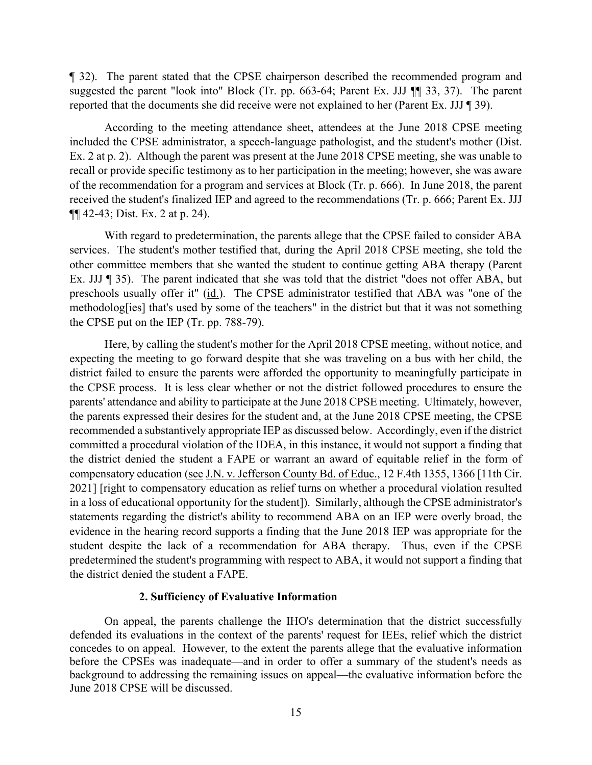reported that the documents she did receive were not explained to her (Parent Ex. JJJ ¶ 39). ¶ 32). The parent stated that the CPSE chairperson described the recommended program and suggested the parent "look into" Block (Tr. pp. 663-64; Parent Ex. JJJ ¶¶ 33, 37). The parent

 of the recommendation for a program and services at Block (Tr. p. 666). In June 2018, the parent According to the meeting attendance sheet, attendees at the June 2018 CPSE meeting included the CPSE administrator, a speech-language pathologist, and the student's mother (Dist. Ex. 2 at p. 2). Although the parent was present at the June 2018 CPSE meeting, she was unable to recall or provide specific testimony as to her participation in the meeting; however, she was aware received the student's finalized IEP and agreed to the recommendations (Tr. p. 666; Parent Ex. JJJ ¶¶ 42-43; Dist. Ex. 2 at p. 24).

preschools usually offer it" (id.). The CPSE administrator testified that ABA was "one of the With regard to predetermination, the parents allege that the CPSE failed to consider ABA services. The student's mother testified that, during the April 2018 CPSE meeting, she told the other committee members that she wanted the student to continue getting ABA therapy (Parent Ex. JJJ ¶ 35). The parent indicated that she was told that the district "does not offer ABA, but methodolog[ies] that's used by some of the teachers" in the district but that it was not something the CPSE put on the IEP (Tr. pp. 788-79).

compensatory education (see J.N. v. Jefferson County Bd. of Educ., 12 F.4th 1355, 1366 [11th Cir. statements regarding the district's ability to recommend ABA on an IEP were overly broad, the Here, by calling the student's mother for the April 2018 CPSE meeting, without notice, and expecting the meeting to go forward despite that she was traveling on a bus with her child, the district failed to ensure the parents were afforded the opportunity to meaningfully participate in the CPSE process. It is less clear whether or not the district followed procedures to ensure the parents' attendance and ability to participate at the June 2018 CPSE meeting. Ultimately, however, the parents expressed their desires for the student and, at the June 2018 CPSE meeting, the CPSE recommended a substantively appropriate IEP as discussed below. Accordingly, even if the district committed a procedural violation of the IDEA, in this instance, it would not support a finding that the district denied the student a FAPE or warrant an award of equitable relief in the form of 2021] [right to compensatory education as relief turns on whether a procedural violation resulted in a loss of educational opportunity for the student]). Similarly, although the CPSE administrator's evidence in the hearing record supports a finding that the June 2018 IEP was appropriate for the student despite the lack of a recommendation for ABA therapy. Thus, even if the CPSE predetermined the student's programming with respect to ABA, it would not support a finding that the district denied the student a FAPE.

#### **2. Sufficiency of Evaluative Information**

 defended its evaluations in the context of the parents' request for IEEs, relief which the district On appeal, the parents challenge the IHO's determination that the district successfully concedes to on appeal. However, to the extent the parents allege that the evaluative information before the CPSEs was inadequate—and in order to offer a summary of the student's needs as background to addressing the remaining issues on appeal—the evaluative information before the June 2018 CPSE will be discussed.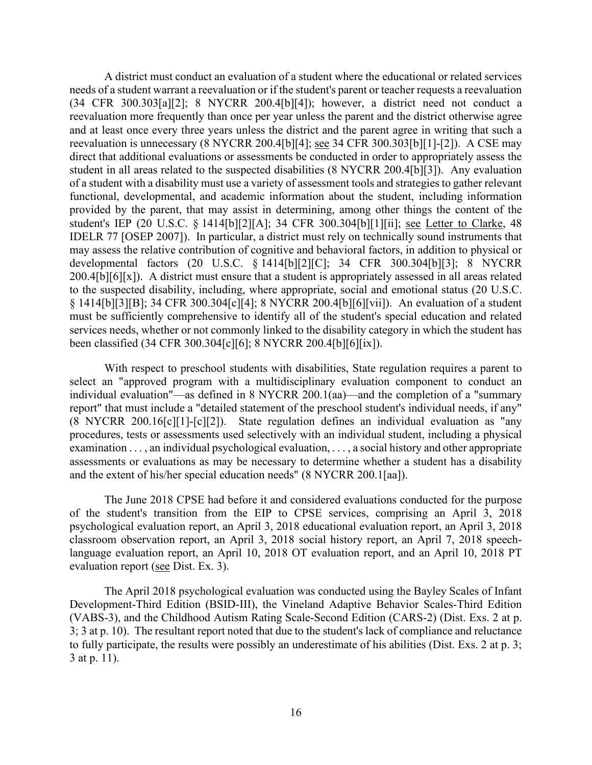A district must conduct an evaluation of a student where the educational or related services and at least once every three years unless the district and the parent agree in writing that such a reevaluation is unnecessary (8 NYCRR 200.4[b][4]; <u>see</u> 34 CFR 300.303[b][1]-[2]). A CSE may student in all areas related to the suspected disabilities (8 NYCRR 200.4[b][3]). Any evaluation needs of a student warrant a reevaluation or if the student's parent or teacher requests a reevaluation (34 CFR 300.303[a][2]; 8 NYCRR 200.4[b][4]); however, a district need not conduct a reevaluation more frequently than once per year unless the parent and the district otherwise agree direct that additional evaluations or assessments be conducted in order to appropriately assess the of a student with a disability must use a variety of assessment tools and strategies to gather relevant functional, developmental, and academic information about the student, including information provided by the parent, that may assist in determining, among other things the content of the student's IEP (20 U.S.C. § 1414[b][2][A]; 34 CFR 300.304[b][1][ii]; see Letter to Clarke, 48 IDELR 77 [OSEP 2007]). In particular, a district must rely on technically sound instruments that may assess the relative contribution of cognitive and behavioral factors, in addition to physical or developmental factors (20 U.S.C. § 1414[b][2][C]; 34 CFR 300.304[b][3]; 8 NYCRR 200.4[b][6][x]). A district must ensure that a student is appropriately assessed in all areas related to the suspected disability, including, where appropriate, social and emotional status (20 U.S.C. § 1414[b][3][B]; 34 CFR 300.304[c][4]; 8 NYCRR 200.4[b][6][vii]). An evaluation of a student must be sufficiently comprehensive to identify all of the student's special education and related services needs, whether or not commonly linked to the disability category in which the student has been classified (34 CFR 300.304[c][6]; 8 NYCRR 200.4[b][6][ix]).

With respect to preschool students with disabilities, State regulation requires a parent to select an "approved program with a multidisciplinary evaluation component to conduct an individual evaluation"—as defined in 8 NYCRR 200.1(aa)—and the completion of a "summary report" that must include a "detailed statement of the preschool student's individual needs, if any" (8 NYCRR 200.16[c][1]-[c][2]). State regulation defines an individual evaluation as "any procedures, tests or assessments used selectively with an individual student, including a physical examination . . . , an individual psychological evaluation, . . . , a social history and other appropriate assessments or evaluations as may be necessary to determine whether a student has a disability and the extent of his/her special education needs" (8 NYCRR 200.1[aa]).

evaluation report (see Dist. Ex. 3). The June 2018 CPSE had before it and considered evaluations conducted for the purpose of the student's transition from the EIP to CPSE services, comprising an April 3, 2018 psychological evaluation report, an April 3, 2018 educational evaluation report, an April 3, 2018 classroom observation report, an April 3, 2018 social history report, an April 7, 2018 speechlanguage evaluation report, an April 10, 2018 OT evaluation report, and an April 10, 2018 PT

The April 2018 psychological evaluation was conducted using the Bayley Scales of Infant Development-Third Edition (BSID-III), the Vineland Adaptive Behavior Scales-Third Edition (VABS-3), and the Childhood Autism Rating Scale-Second Edition (CARS-2) (Dist. Exs. 2 at p. 3; 3 at p. 10). The resultant report noted that due to the student's lack of compliance and reluctance to fully participate, the results were possibly an underestimate of his abilities (Dist. Exs. 2 at p. 3; 3 at p. 11).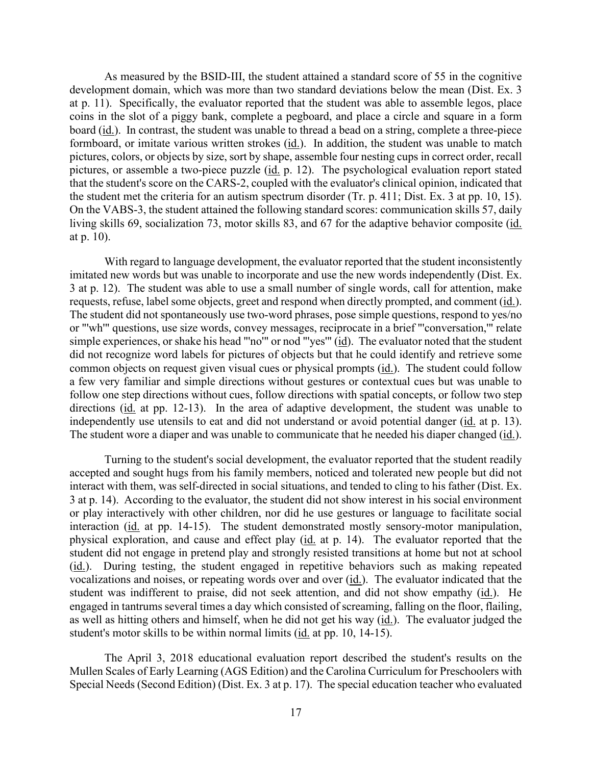formboard, or imitate various written strokes (*id.*). In addition, the student was unable to match pictures, or assemble a two-piece puzzle (id. p. 12). The psychological evaluation report stated the student met the criteria for an autism spectrum disorder (Tr. p. 411; Dist. Ex. 3 at pp. 10, 15). As measured by the BSID-III, the student attained a standard score of 55 in the cognitive development domain, which was more than two standard deviations below the mean (Dist. Ex. 3 at p. 11). Specifically, the evaluator reported that the student was able to assemble legos, place coins in the slot of a piggy bank, complete a pegboard, and place a circle and square in a form board (id.). In contrast, the student was unable to thread a bead on a string, complete a three-piece pictures, colors, or objects by size, sort by shape, assemble four nesting cups in correct order, recall that the student's score on the CARS-2, coupled with the evaluator's clinical opinion, indicated that On the VABS-3, the student attained the following standard scores: communication skills 57, daily living skills 69, socialization 73, motor skills 83, and 67 for the adaptive behavior composite (id. at p. 10).

requests, refuse, label some objects, greet and respond when directly prompted, and comment (id.). simple experiences, or shake his head "'no'" or nod "'yes'" (id). The evaluator noted that the student did not recognize word labels for pictures of objects but that he could identify and retrieve some common objects on request given visual cues or physical prompts (id.). The student could follow a few very familiar and simple directions without gestures or contextual cues but was unable to independently use utensils to eat and did not understand or avoid potential danger (id. at p. 13). independently use utensils to eat and did not understand or avoid potential danger (<u>id.</u> at p. 13).<br>The student wore a diaper and was unable to communicate that he needed his diaper changed (<u>id.</u>). With regard to language development, the evaluator reported that the student inconsistently imitated new words but was unable to incorporate and use the new words independently (Dist. Ex. 3 at p. 12). The student was able to use a small number of single words, call for attention, make The student did not spontaneously use two-word phrases, pose simple questions, respond to yes/no or "'wh'" questions, use size words, convey messages, reciprocate in a brief "'conversation,'" relate follow one step directions without cues, follow directions with spatial concepts, or follow two step directions (id. at pp. 12-13). In the area of adaptive development, the student was unable to

interaction (id. at pp. 14-15). The student demonstrated mostly sensory-motor manipulation, (id.). During testing, the student engaged in repetitive behaviors such as making repeated as well as hitting others and himself, when he did not get his way (id.). The evaluator judged the Turning to the student's social development, the evaluator reported that the student readily accepted and sought hugs from his family members, noticed and tolerated new people but did not interact with them, was self-directed in social situations, and tended to cling to his father (Dist. Ex. 3 at p. 14). According to the evaluator, the student did not show interest in his social environment or play interactively with other children, nor did he use gestures or language to facilitate social physical exploration, and cause and effect play (id. at p. 14). The evaluator reported that the student did not engage in pretend play and strongly resisted transitions at home but not at school vocalizations and noises, or repeating words over and over (id.). The evaluator indicated that the student was indifferent to praise, did not seek attention, and did not show empathy (id.). He engaged in tantrums several times a day which consisted of screaming, falling on the floor, flailing, student's motor skills to be within normal limits (id. at pp. 10, 14-15).

The April 3, 2018 educational evaluation report described the student's results on the Mullen Scales of Early Learning (AGS Edition) and the Carolina Curriculum for Preschoolers with Special Needs (Second Edition) (Dist. Ex. 3 at p. 17). The special education teacher who evaluated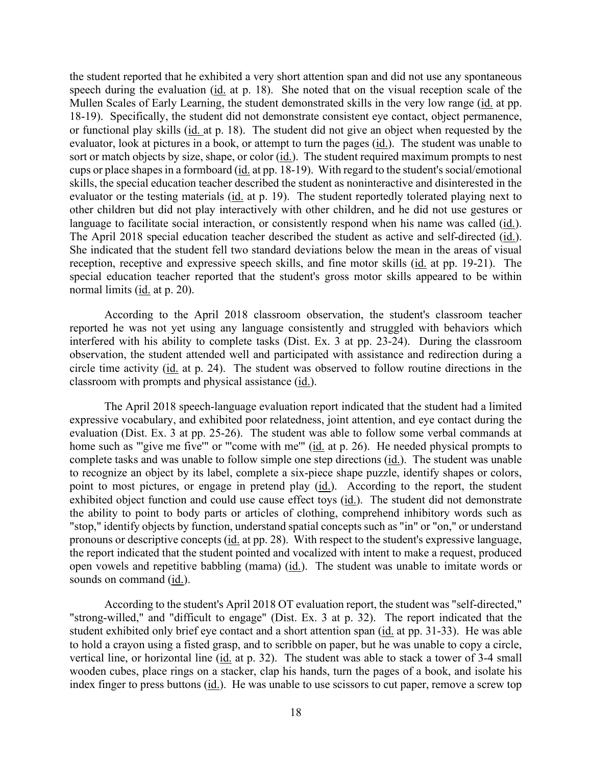speech during the evaluation (id. at p. 18). She noted that on the visual reception scale of the cups or place shapes in a formboard (id. at pp. 18-19). With regard to the student's social/emotional other children but did not play interactively with other children, and he did not use gestures or language to facilitate social interaction, or consistently respond when his name was called (id.). The April 2018 special education teacher described the student as active and self-directed (id.). reception, receptive and expressive speech skills, and fine motor skills (id. at pp. 19-21). The normal limits (*id.* at p. 20). the student reported that he exhibited a very short attention span and did not use any spontaneous Mullen Scales of Early Learning, the student demonstrated skills in the very low range (id. at pp. 18-19). Specifically, the student did not demonstrate consistent eye contact, object permanence, or functional play skills (id. at p. 18). The student did not give an object when requested by the evaluator, look at pictures in a book, or attempt to turn the pages (id.). The student was unable to sort or match objects by size, shape, or color (id.). The student required maximum prompts to nest skills, the special education teacher described the student as noninteractive and disinterested in the evaluator or the testing materials (id. at p. 19). The student reportedly tolerated playing next to She indicated that the student fell two standard deviations below the mean in the areas of visual special education teacher reported that the student's gross motor skills appeared to be within

 According to the April 2018 classroom observation, the student's classroom teacher reported he was not yet using any language consistently and struggled with behaviors which interfered with his ability to complete tasks (Dist. Ex. 3 at pp. 23-24). During the classroom observation, the student attended well and participated with assistance and redirection during a circle time activity (id. at p. 24). The student was observed to follow routine directions in the classroom with prompts and physical assistance (id.).

home such as "'give me five'" or "'come with me'" (id. at p. 26). He needed physical prompts to point to most pictures, or engage in pretend play (*id.*). According to the report, the student exhibited object function and could use cause effect toys (id.). The student did not demonstrate open vowels and repetitive babbling (mama) (id.). The student was unable to imitate words or The April 2018 speech-language evaluation report indicated that the student had a limited expressive vocabulary, and exhibited poor relatedness, joint attention, and eye contact during the evaluation (Dist. Ex. 3 at pp. 25-26). The student was able to follow some verbal commands at complete tasks and was unable to follow simple one step directions (id.). The student was unable to recognize an object by its label, complete a six-piece shape puzzle, identify shapes or colors, the ability to point to body parts or articles of clothing, comprehend inhibitory words such as "stop," identify objects by function, understand spatial concepts such as "in" or "on," or understand pronouns or descriptive concepts (id. at pp. 28). With respect to the student's expressive language, the report indicated that the student pointed and vocalized with intent to make a request, produced sounds on command (id.).

 to hold a crayon using a fisted grasp, and to scribble on paper, but he was unable to copy a circle, vertical line, or horizontal line (id. at p. 32). The student was able to stack a tower of 3-4 small index finger to press buttons (*id.*). He was unable to use scissors to cut paper, remove a screw top According to the student's April 2018 OT evaluation report, the student was "self-directed," "strong-willed," and "difficult to engage" (Dist. Ex. 3 at p. 32). The report indicated that the student exhibited only brief eye contact and a short attention span (id. at pp. 31-33). He was able wooden cubes, place rings on a stacker, clap his hands, turn the pages of a book, and isolate his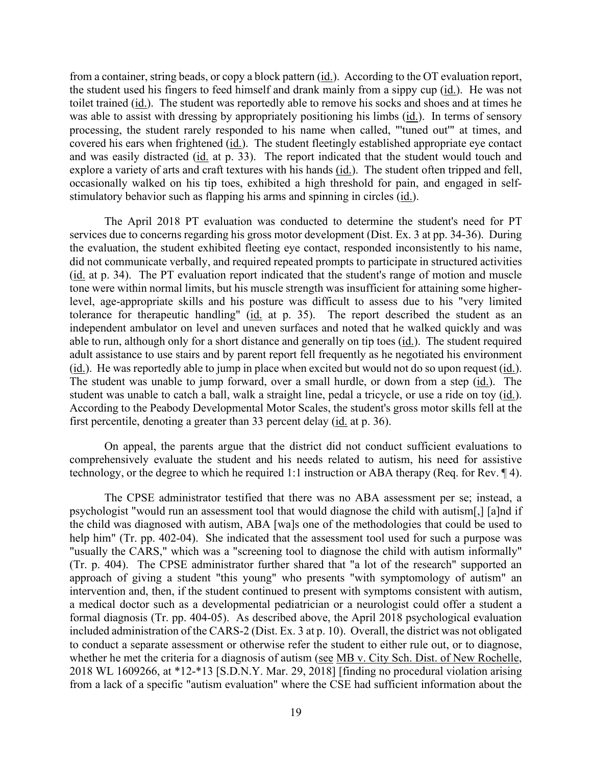from a container, string beads, or copy a block pattern (*id.*). According to the OT evaluation report, toilet trained (*id.*). The student was reportedly able to remove his socks and shoes and at times he covered his ears when frightened (id.). The student fleetingly established appropriate eye contact and was easily distracted (id. at p. 33). The report indicated that the student would touch and explore a variety of arts and craft textures with his hands (id.). The student often tripped and fell, the student used his fingers to feed himself and drank mainly from a sippy cup (id.). He was not was able to assist with dressing by appropriately positioning his limbs (id.). In terms of sensory processing, the student rarely responded to his name when called, "'tuned out'" at times, and occasionally walked on his tip toes, exhibited a high threshold for pain, and engaged in selfstimulatory behavior such as flapping his arms and spinning in circles (id.).

 The April 2018 PT evaluation was conducted to determine the student's need for PT services due to concerns regarding his gross motor development (Dist. Ex. 3 at pp. 34-36). During (id. at p. 34). The PT evaluation report indicated that the student's range of motion and muscle tolerance for therapeutic handling" (id. at p. 35). The report described the student as an able to run, although only for a short distance and generally on tip toes (*id.*). The student required (id.). He was reportedly able to jump in place when excited but would not do so upon request (id.). student was unable to catch a ball, walk a straight line, pedal a tricycle, or use a ride on toy (id.). According to the Peabody Developmental Motor Scales, the student's gross motor skills fell at the first percentile, denoting a greater than 33 percent delay (*id.* at p. 36). the evaluation, the student exhibited fleeting eye contact, responded inconsistently to his name, did not communicate verbally, and required repeated prompts to participate in structured activities tone were within normal limits, but his muscle strength was insufficient for attaining some higherlevel, age-appropriate skills and his posture was difficult to assess due to his "very limited independent ambulator on level and uneven surfaces and noted that he walked quickly and was adult assistance to use stairs and by parent report fell frequently as he negotiated his environment The student was unable to jump forward, over a small hurdle, or down from a step (id.). The

 technology, or the degree to which he required 1:1 instruction or ABA therapy (Req. for Rev. ¶ 4). On appeal, the parents argue that the district did not conduct sufficient evaluations to comprehensively evaluate the student and his needs related to autism, his need for assistive

 help him" (Tr. pp. 402-04). She indicated that the assessment tool used for such a purpose was a medical doctor such as a developmental pediatrician or a neurologist could offer a student a formal diagnosis (Tr. pp. 404-05). As described above, the April 2018 psychological evaluation whether he met the criteria for a diagnosis of autism (see MB v. City Sch. Dist. of New Rochelle, The CPSE administrator testified that there was no ABA assessment per se; instead, a psychologist "would run an assessment tool that would diagnose the child with autism[,] [a]nd if the child was diagnosed with autism, ABA [wa]s one of the methodologies that could be used to "usually the CARS," which was a "screening tool to diagnose the child with autism informally" (Tr. p. 404). The CPSE administrator further shared that "a lot of the research" supported an approach of giving a student "this young" who presents "with symptomology of autism" an intervention and, then, if the student continued to present with symptoms consistent with autism, included administration of the CARS-2 (Dist. Ex. 3 at p. 10). Overall, the district was not obligated to conduct a separate assessment or otherwise refer the student to either rule out, or to diagnose, 2018 WL 1609266, at \*12-\*13 [S.D.N.Y. Mar. 29, 2018] [finding no procedural violation arising from a lack of a specific "autism evaluation" where the CSE had sufficient information about the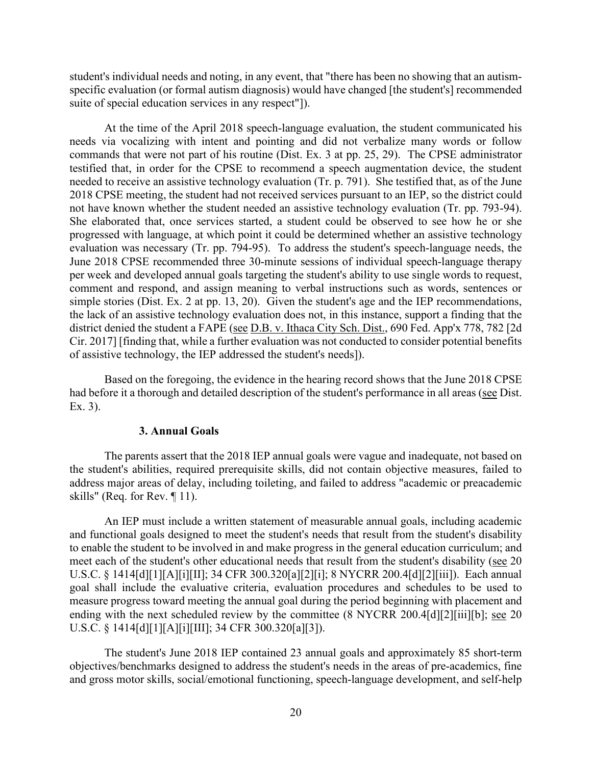student's individual needs and noting, in any event, that "there has been no showing that an autismspecific evaluation (or formal autism diagnosis) would have changed [the student's] recommended suite of special education services in any respect"]).

 needs via vocalizing with intent and pointing and did not verbalize many words or follow not have known whether the student needed an assistive technology evaluation (Tr. pp. 793-94). per week and developed annual goals targeting the student's ability to use single words to request, simple stories (Dist. Ex. 2 at pp. 13, 20). Given the student's age and the IEP recommendations, Cir. 2017] [finding that, while a further evaluation was not conducted to consider potential benefits At the time of the April 2018 speech-language evaluation, the student communicated his commands that were not part of his routine (Dist. Ex. 3 at pp. 25, 29). The CPSE administrator testified that, in order for the CPSE to recommend a speech augmentation device, the student needed to receive an assistive technology evaluation (Tr. p. 791). She testified that, as of the June 2018 CPSE meeting, the student had not received services pursuant to an IEP, so the district could She elaborated that, once services started, a student could be observed to see how he or she progressed with language, at which point it could be determined whether an assistive technology evaluation was necessary (Tr. pp. 794-95). To address the student's speech-language needs, the June 2018 CPSE recommended three 30-minute sessions of individual speech-language therapy comment and respond, and assign meaning to verbal instructions such as words, sentences or the lack of an assistive technology evaluation does not, in this instance, support a finding that the district denied the student a FAPE (see D.B. v. Ithaca City Sch. Dist., 690 Fed. App'x 778, 782 [2d of assistive technology, the IEP addressed the student's needs]).

Based on the foregoing, the evidence in the hearing record shows that the June 2018 CPSE had before it a thorough and detailed description of the student's performance in all areas (see Dist. Ex. 3).

#### **3. Annual Goals**

 The parents assert that the 2018 IEP annual goals were vague and inadequate, not based on skills" (Req. for Rev. ¶ 11). the student's abilities, required prerequisite skills, did not contain objective measures, failed to address major areas of delay, including toileting, and failed to address "academic or preacademic

meet each of the student's other educational needs that result from the student's disability (see 20 ending with the next scheduled review by the committee (8 NYCRR 200.4[d][2][iii][b]; see 20 An IEP must include a written statement of measurable annual goals, including academic and functional goals designed to meet the student's needs that result from the student's disability to enable the student to be involved in and make progress in the general education curriculum; and U.S.C. § 1414[d][1][A][i][II]; 34 CFR 300.320[a][2][i]; 8 NYCRR 200.4[d][2][iii]). Each annual goal shall include the evaluative criteria, evaluation procedures and schedules to be used to measure progress toward meeting the annual goal during the period beginning with placement and U.S.C. § 1414[d][1][A][i][III]; 34 CFR 300.320[a][3]).

The student's June 2018 IEP contained 23 annual goals and approximately 85 short-term objectives/benchmarks designed to address the student's needs in the areas of pre-academics, fine and gross motor skills, social/emotional functioning, speech-language development, and self-help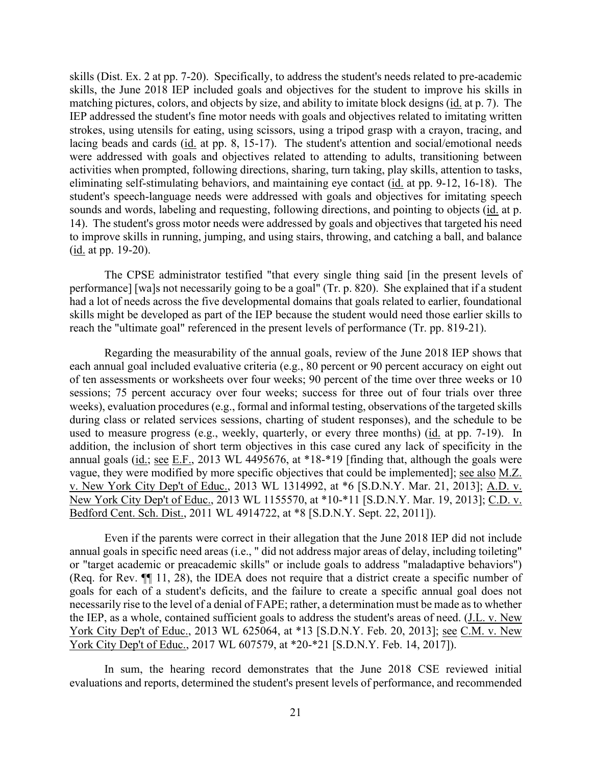skills (Dist. Ex. 2 at pp. 7-20). Specifically, to address the student's needs related to pre-academic matching pictures, colors, and objects by size, and ability to imitate block designs (id. at p. 7). The IEP addressed the student's fine motor needs with goals and objectives related to imitating written lacing beads and cards (id. at pp. 8, 15-17). The student's attention and social/emotional needs student's speech-language needs were addressed with goals and objectives for imitating speech 14). The student's gross motor needs were addressed by goals and objectives that targeted his need skills, the June 2018 IEP included goals and objectives for the student to improve his skills in strokes, using utensils for eating, using scissors, using a tripod grasp with a crayon, tracing, and were addressed with goals and objectives related to attending to adults, transitioning between activities when prompted, following directions, sharing, turn taking, play skills, attention to tasks, eliminating self-stimulating behaviors, and maintaining eye contact (id. at pp. 9-12, 16-18). The sounds and words, labeling and requesting, following directions, and pointing to objects (id. at p. to improve skills in running, jumping, and using stairs, throwing, and catching a ball, and balance (id. at pp. 19-20).

 performance] [wa]s not necessarily going to be a goal" (Tr. p. 820). She explained that if a student skills might be developed as part of the IEP because the student would need those earlier skills to The CPSE administrator testified "that every single thing said [in the present levels of had a lot of needs across the five developmental domains that goals related to earlier, foundational reach the "ultimate goal" referenced in the present levels of performance (Tr. pp. 819-21).

 of ten assessments or worksheets over four weeks; 90 percent of the time over three weeks or 10 used to measure progress (e.g., weekly, quarterly, or every three months) (*id.* at pp. 7-19). In v. New York City Dep't of Educ., 2013 WL 1314992, at \*6 [S.D.N.Y. Mar. 21, 2013]; A.D. v. Regarding the measurability of the annual goals, review of the June 2018 IEP shows that each annual goal included evaluative criteria (e.g., 80 percent or 90 percent accuracy on eight out sessions; 75 percent accuracy over four weeks; success for three out of four trials over three weeks), evaluation procedures (e.g., formal and informal testing, observations of the targeted skills during class or related services sessions, charting of student responses), and the schedule to be addition, the inclusion of short term objectives in this case cured any lack of specificity in the annual goals (id.; see E.F., 2013 WL 4495676, at \*18-\*19 [finding that, although the goals were vague, they were modified by more specific objectives that could be implemented]; <u>see also M.Z.</u> New York City Dep't of Educ., 2013 WL 1155570, at \*10-\*11 [S.D.N.Y. Mar. 19, 2013]; C.D. v. Bedford Cent. Sch. Dist., 2011 WL 4914722, at \*8 [S.D.N.Y. Sept. 22, 2011]).

 Even if the parents were correct in their allegation that the June 2018 IEP did not include goals for each of a student's deficits, and the failure to create a specific annual goal does not necessarily rise to the level of a denial of FAPE; rather, a determination must be made as to whether annual goals in specific need areas (i.e., " did not address major areas of delay, including toileting" or "target academic or preacademic skills" or include goals to address "maladaptive behaviors") (Req. for Rev. ¶¶ 11, 28), the IDEA does not require that a district create a specific number of the IEP, as a whole, contained sufficient goals to address the student's areas of need. (J.L. v. New York City Dep't of Educ., 2013 WL 625064, at \*13 [S.D.N.Y. Feb. 20, 2013]; see C.M. v. New York City Dep't of Educ., 2017 WL 607579, at \*20-\*21 [S.D.N.Y. Feb. 14, 2017]).

In sum, the hearing record demonstrates that the June 2018 CSE reviewed initial evaluations and reports, determined the student's present levels of performance, and recommended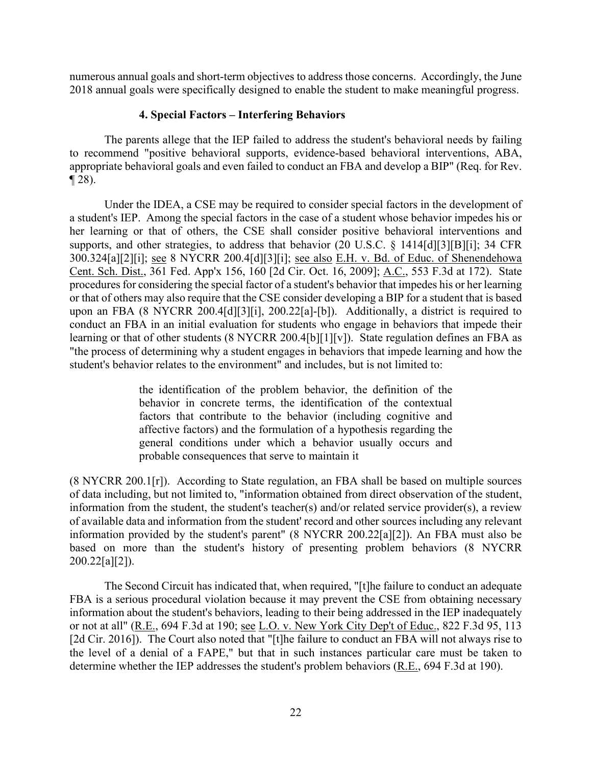numerous annual goals and short-term objectives to address those concerns. Accordingly, the June 2018 annual goals were specifically designed to enable the student to make meaningful progress.

# **4. Special Factors – Interfering Behaviors**

The parents allege that the IEP failed to address the student's behavioral needs by failing to recommend "positive behavioral supports, evidence-based behavioral interventions, ABA, appropriate behavioral goals and even failed to conduct an FBA and develop a BIP" (Req. for Rev. ¶ 28).

 a student's IEP. Among the special factors in the case of a student whose behavior impedes his or 300.324[a][2][i]; see 8 NYCRR 200.4[d][3][i]; see also E.H. v. Bd. of Educ. of Shenendehowa learning or that of other students (8 NYCRR 200.4[b][1][v]). State regulation defines an FBA as Under the IDEA, a CSE may be required to consider special factors in the development of her learning or that of others, the CSE shall consider positive behavioral interventions and supports, and other strategies, to address that behavior (20 U.S.C. § 1414[d][3][B][i]; 34 CFR Cent. Sch. Dist., 361 Fed. App'x 156, 160 [2d Cir. Oct. 16, 2009]; A.C., 553 F.3d at 172). State procedures for considering the special factor of a student's behavior that impedes his or her learning or that of others may also require that the CSE consider developing a BIP for a student that is based upon an FBA (8 NYCRR 200.4[d][3][i], 200.22[a]-[b]). Additionally, a district is required to conduct an FBA in an initial evaluation for students who engage in behaviors that impede their "the process of determining why a student engages in behaviors that impede learning and how the student's behavior relates to the environment" and includes, but is not limited to:

> the identification of the problem behavior, the definition of the behavior in concrete terms, the identification of the contextual factors that contribute to the behavior (including cognitive and affective factors) and the formulation of a hypothesis regarding the general conditions under which a behavior usually occurs and probable consequences that serve to maintain it

(8 NYCRR 200.1[r]). According to State regulation, an FBA shall be based on multiple sources of data including, but not limited to, "information obtained from direct observation of the student, information from the student, the student's teacher(s) and/or related service provider(s), a review of available data and information from the student' record and other sources including any relevant information provided by the student's parent" (8 NYCRR 200.22[a][2]). An FBA must also be based on more than the student's history of presenting problem behaviors (8 NYCRR 200.22[a][2]).

The Second Circuit has indicated that, when required, "[t]he failure to conduct an adequate FBA is a serious procedural violation because it may prevent the CSE from obtaining necessary information about the student's behaviors, leading to their being addressed in the IEP inadequately or not at all" (R.E., 694 F.3d at 190; see L.O. v. New York City Dep't of Educ., 822 F.3d 95, 113 [2d Cir. 2016]). The Court also noted that "[t]he failure to conduct an FBA will not always rise to the level of a denial of a FAPE," but that in such instances particular care must be taken to determine whether the IEP addresses the student's problem behaviors (R.E., 694 F.3d at 190).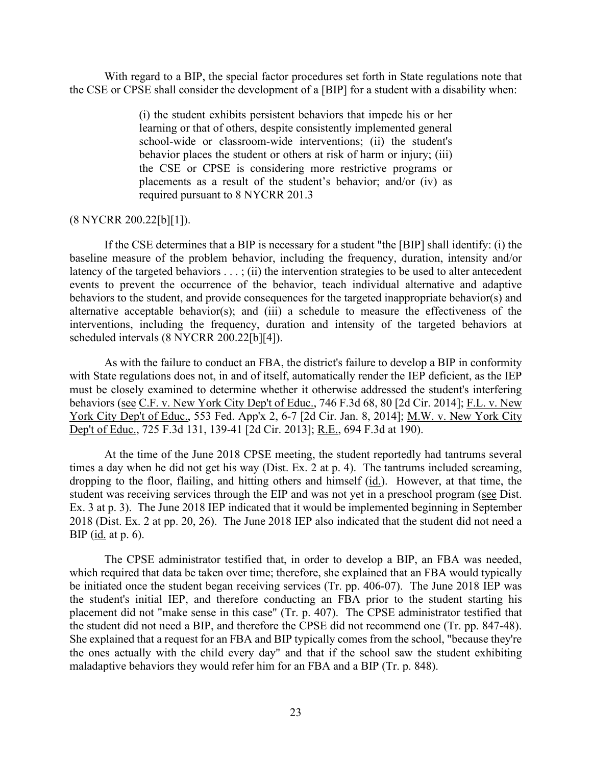With regard to a BIP, the special factor procedures set forth in State regulations note that the CSE or CPSE shall consider the development of a [BIP] for a student with a disability when:

> placements as a result of the student's behavior; and/or (iv) as (i) the student exhibits persistent behaviors that impede his or her learning or that of others, despite consistently implemented general school-wide or classroom-wide interventions; (ii) the student's behavior places the student or others at risk of harm or injury; (iii) the CSE or CPSE is considering more restrictive programs or required pursuant to 8 NYCRR 201.3

#### (8 NYCRR 200.22[b][1]).

 interventions, including the frequency, duration and intensity of the targeted behaviors at If the CSE determines that a BIP is necessary for a student "the [BIP] shall identify: (i) the baseline measure of the problem behavior, including the frequency, duration, intensity and/or latency of the targeted behaviors  $\dots$ ; (ii) the intervention strategies to be used to alter antecedent events to prevent the occurrence of the behavior, teach individual alternative and adaptive behaviors to the student, and provide consequences for the targeted inappropriate behavior(s) and alternative acceptable behavior(s); and (iii) a schedule to measure the effectiveness of the scheduled intervals (8 NYCRR 200.22[b][4]).

behaviors (see C.F. v. New York City Dep't of Educ., 746 F.3d 68, 80 [2d Cir. 2014]; F.L. v. New As with the failure to conduct an FBA, the district's failure to develop a BIP in conformity with State regulations does not, in and of itself, automatically render the IEP deficient, as the IEP must be closely examined to determine whether it otherwise addressed the student's interfering York City Dep't of Educ., 553 Fed. App'x 2, 6-7 [2d Cir. Jan. 8, 2014]; M.W. v. New York City Dep't of Educ., 725 F.3d 131, 139-41 [2d Cir. 2013]; R.E., 694 F.3d at 190).

dropping to the floor, flailing, and hitting others and himself (*id.*). However, at that time, the student was receiving services through the EIP and was not yet in a preschool program (see Dist. BIP (<u>id.</u> at p. 6). At the time of the June 2018 CPSE meeting, the student reportedly had tantrums several times a day when he did not get his way (Dist. Ex. 2 at p. 4). The tantrums included screaming, Ex. 3 at p. 3). The June 2018 IEP indicated that it would be implemented beginning in September 2018 (Dist. Ex. 2 at pp. 20, 26). The June 2018 IEP also indicated that the student did not need a

the student did not need a BIP, and therefore the CPSE did not recommend one (Tr. pp. 847-48). the student did not need a BIP, and therefore the CPSE did not recommend one (Tr. pp. 847-48). She explained that a request for an FBA and BIP typically comes from the school, "because they're The CPSE administrator testified that, in order to develop a BIP, an FBA was needed, which required that data be taken over time; therefore, she explained that an FBA would typically be initiated once the student began receiving services (Tr. pp. 406-07). The June 2018 IEP was the student's initial IEP, and therefore conducting an FBA prior to the student starting his placement did not "make sense in this case" (Tr. p. 407). The CPSE administrator testified that the ones actually with the child every day" and that if the school saw the student exhibiting maladaptive behaviors they would refer him for an FBA and a BIP (Tr. p. 848).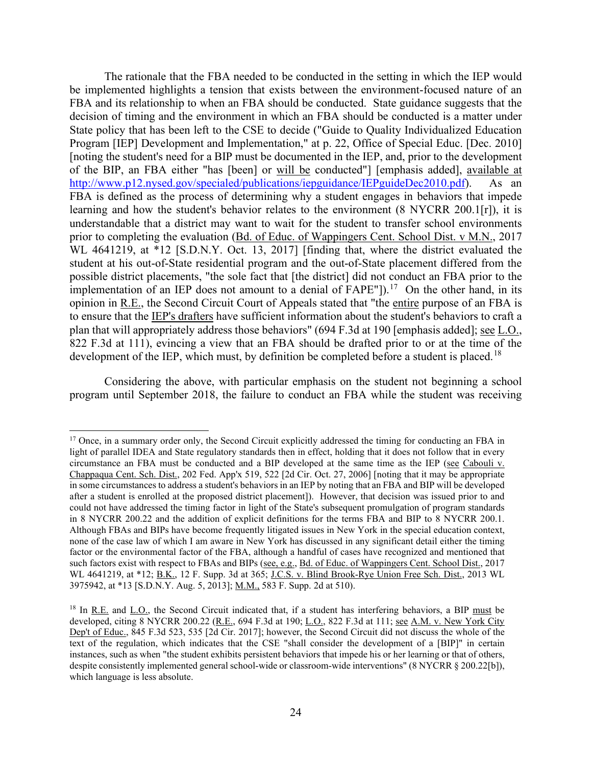student at his out-of-State residential program and the out-of-State placement differed from the implementation of an IEP does not amount to a denial of  $FAPE^{\prime\prime}$ ]).<sup>[17](#page-23-0)</sup> On the other hand, in its opinion in R.E., the Second Circuit Court of Appeals stated that "the entire purpose of an FBA is development of the IEP, which must, by definition be completed before a student is placed.<sup>[18](#page-23-1)</sup> The rationale that the FBA needed to be conducted in the setting in which the IEP would be implemented highlights a tension that exists between the environment-focused nature of an FBA and its relationship to when an FBA should be conducted. State guidance suggests that the decision of timing and the environment in which an FBA should be conducted is a matter under State policy that has been left to the CSE to decide ("Guide to Quality Individualized Education Program [IEP] Development and Implementation," at p. 22, Office of Special Educ. [Dec. 2010] [noting the student's need for a BIP must be documented in the IEP, and, prior to the development of the BIP, an FBA either "has [been] or will be conducted"] [emphasis added], available at [http://www.p12.nysed.gov/specialed/publications/iepguidance/IEPguideDec2010.pdf\)](http://www.p12.nysed.gov/specialed/publications/iepguidance/IEPguideDec2010.pdf). As an FBA is defined as the process of determining why a student engages in behaviors that impede learning and how the student's behavior relates to the environment (8 NYCRR 200.1[r]), it is understandable that a district may want to wait for the student to transfer school environments prior to completing the evaluation (Bd. of Educ. of Wappingers Cent. School Dist. v M.N., 2017 WL 4641219, at \*12 [S.D.N.Y. Oct. 13, 2017] [finding that, where the district evaluated the possible district placements, "the sole fact that [the district] did not conduct an FBA prior to the to ensure that the IEP's drafters have sufficient information about the student's behaviors to craft a plan that will appropriately address those behaviors" (694 F.3d at 190 [emphasis added]; see L.O., 822 F.3d at 111), evincing a view that an FBA should be drafted prior to or at the time of the

Considering the above, with particular emphasis on the student not beginning a school program until September 2018, the failure to conduct an FBA while the student was receiving

<span id="page-23-0"></span>Chappaqua Cent. Sch. Dist., 202 Fed. App'x 519, 522 [2d Cir. Oct. 27, 2006] [noting that it may be appropriate in 8 NYCRR 200.22 and the addition of explicit definitions for the terms FBA and BIP to 8 NYCRR 200.1. 3975942, at \*13 [S.D.N.Y. Aug. 5, 2013]; M.M., 583 F. Supp. 2d at 510). <sup>17</sup> Once, in a summary order only, the Second Circuit explicitly addressed the timing for conducting an FBA in light of parallel IDEA and State regulatory standards then in effect, holding that it does not follow that in every circumstance an FBA must be conducted and a BIP developed at the same time as the IEP (see Cabouli v. in some circumstances to address a student's behaviors in an IEP by noting that an FBA and BIP will be developed after a student is enrolled at the proposed district placement]). However, that decision was issued prior to and could not have addressed the timing factor in light of the State's subsequent promulgation of program standards Although FBAs and BIPs have become frequently litigated issues in New York in the special education context, none of the case law of which I am aware in New York has discussed in any significant detail either the timing factor or the environmental factor of the FBA, although a handful of cases have recognized and mentioned that such factors exist with respect to FBAs and BIPs (see, e.g., Bd. of Educ. of Wappingers Cent. School Dist., 2017 WL 4641219, at \*12; B.K., 12 F. Supp. 3d at 365; J.C.S. v. Blind Brook-Rye Union Free Sch. Dist., 2013 WL

<span id="page-23-1"></span><sup>&</sup>lt;sup>18</sup> In <u>R.E.</u> and  $\underline{L.O.}$ , the Second Circuit indicated that, if a student has interfering behaviors, a BIP must be Dep't of Educ., 845 F.3d 523, 535 [2d Cir. 2017]; however, the Second Circuit did not discuss the whole of the developed, citing 8 NYCRR 200.22 (R.E., 694 F.3d at 190; L.O., 822 F.3d at 111; see A.M. v. New York City text of the regulation, which indicates that the CSE "shall consider the development of a [BIP]" in certain instances, such as when "the student exhibits persistent behaviors that impede his or her learning or that of others, despite consistently implemented general school-wide or classroom-wide interventions" (8 NYCRR § 200.22[b]), which language is less absolute.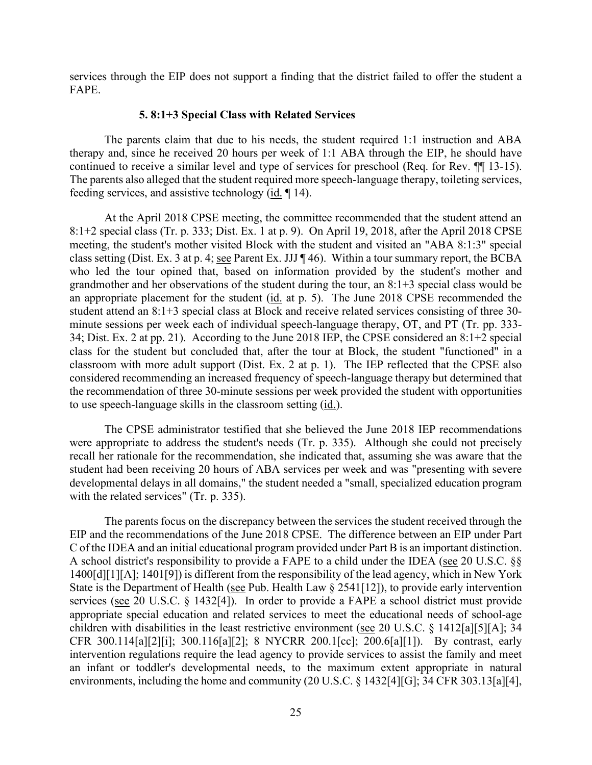services through the EIP does not support a finding that the district failed to offer the student a FAPE.

#### **5. 8:1+3 Special Class with Related Services**

 therapy and, since he received 20 hours per week of 1:1 ABA through the EIP, he should have continued to receive a similar level and type of services for preschool (Req. for Rev. ¶¶ 13-15). feeding services, and assistive technology  $(id. \P 14)$ . The parents claim that due to his needs, the student required 1:1 instruction and ABA The parents also alleged that the student required more speech-language therapy, toileting services,

 At the April 2018 CPSE meeting, the committee recommended that the student attend an 8:1+2 special class (Tr. p. 333; Dist. Ex. 1 at p. 9). On April 19, 2018, after the April 2018 CPSE class setting (Dist. Ex. 3 at p. 4; see Parent Ex. JJJ ¶ 46). Within a tour summary report, the BCBA an appropriate placement for the student (id. at p. 5). The June 2018 CPSE recommended the 34; Dist. Ex. 2 at pp. 21). According to the June 2018 IEP, the CPSE considered an 8:1+2 special meeting, the student's mother visited Block with the student and visited an "ABA 8:1:3" special who led the tour opined that, based on information provided by the student's mother and grandmother and her observations of the student during the tour, an 8:1+3 special class would be student attend an 8:1+3 special class at Block and receive related services consisting of three 30 minute sessions per week each of individual speech-language therapy, OT, and PT (Tr. pp. 333 class for the student but concluded that, after the tour at Block, the student "functioned" in a classroom with more adult support (Dist. Ex. 2 at p. 1). The IEP reflected that the CPSE also considered recommending an increased frequency of speech-language therapy but determined that the recommendation of three 30-minute sessions per week provided the student with opportunities to use speech-language skills in the classroom setting (id.).

 recall her rationale for the recommendation, she indicated that, assuming she was aware that the developmental delays in all domains," the student needed a "small, specialized education program The CPSE administrator testified that she believed the June 2018 IEP recommendations were appropriate to address the student's needs (Tr. p. 335). Although she could not precisely student had been receiving 20 hours of ABA services per week and was "presenting with severe with the related services" (Tr. p. 335).

 EIP and the recommendations of the June 2018 CPSE. The difference between an EIP under Part C of the IDEA and an initial educational program provided under Part B is an important distinction. The parents focus on the discrepancy between the services the student received through the A school district's responsibility to provide a FAPE to a child under the IDEA (see 20 U.S.C. §§ 1400[d][1][A]; 1401[9]) is different from the responsibility of the lead agency, which in New York State is the Department of Health (see Pub. Health Law § 2541[12]), to provide early intervention services (see 20 U.S.C. § 1432[4]). In order to provide a FAPE a school district must provide appropriate special education and related services to meet the educational needs of school-age children with disabilities in the least restrictive environment (see 20 U.S.C. § 1412[a][5][A]; 34 CFR 300.114[a][2][i]; 300.116[a][2]; 8 NYCRR 200.1[cc]; 200.6[a][1]). By contrast, early intervention regulations require the lead agency to provide services to assist the family and meet an infant or toddler's developmental needs, to the maximum extent appropriate in natural environments, including the home and community (20 U.S.C. § 1432[4][G]; 34 CFR 303.13[a][4],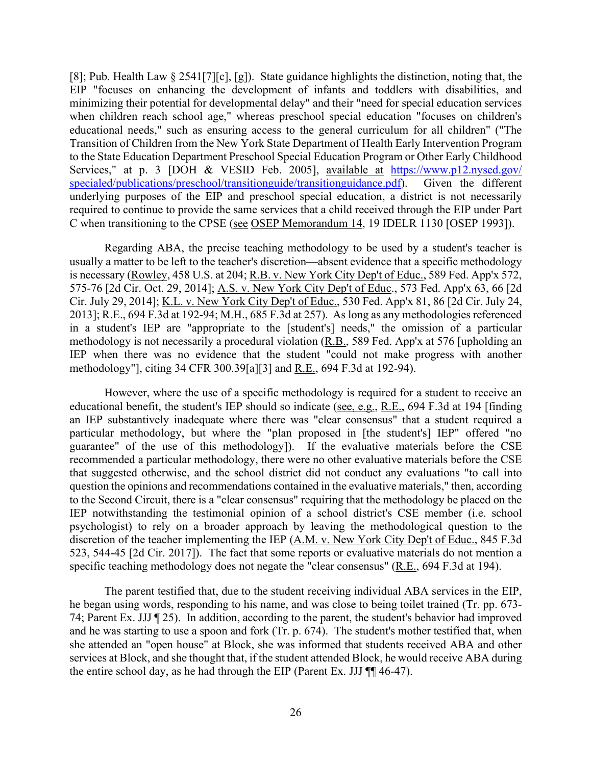Services," at p. 3 [DOH & VESID Feb. 2005], available at https://www.p12.nysed.gov/ [specialed/publications/preschool/transitionguide/transitionguidance.pdf\)](https://www.p12.nysed.gov/specialed/publications/preschool/transitionguide/transitionguidance.pdf). Given the different underlying purposes of the EIP and preschool special education, a district is not necessarily required to continue to provide the same services that a child received through the EIP under Part [8]; Pub. Health Law § 2541[7][c], [g]). State guidance highlights the distinction, noting that, the EIP "focuses on enhancing the development of infants and toddlers with disabilities, and minimizing their potential for developmental delay" and their "need for special education services when children reach school age," whereas preschool special education "focuses on children's educational needs," such as ensuring access to the general curriculum for all children" ("The Transition of Children from the New York State Department of Health Early Intervention Program to the State Education Department Preschool Special Education Program or Other Early Childhood C when transitioning to the CPSE (see OSEP Memorandum 14, 19 IDELR 1130 [OSEP 1993]).

Regarding ABA, the precise teaching methodology to be used by a student's teacher is usually a matter to be left to the teacher's discretion—absent evidence that a specific methodology is necessary (Rowley, 458 U.S. at 204; R.B. v. New York City Dep't of Educ., 589 Fed. App'x 572, 575-76 [2d Cir. Oct. 29, 2014]; A.S. v. New York City Dep't of Educ., 573 Fed. App'x 63, 66 [2d Cir. July 29, 2014]; K.L. v. New York City Dep't of Educ., 530 Fed. App'x 81, 86 [2d Cir. July 24, 2013]; R.E., 694 F.3d at 192-94; M.H., 685 F.3d at 257). As long as any methodologies referenced in a student's IEP are "appropriate to the [student's] needs," the omission of a particular methodology is not necessarily a procedural violation (R.B., 589 Fed. App'x at 576 [upholding an IEP when there was no evidence that the student "could not make progress with another methodology"], citing 34 CFR 300.39[a][3] and R.E., 694 F.3d at 192-94).

 to the Second Circuit, there is a "clear consensus" requiring that the methodology be placed on the However, where the use of a specific methodology is required for a student to receive an educational benefit, the student's IEP should so indicate (see, e.g., R.E., 694 F.3d at 194 [finding an IEP substantively inadequate where there was "clear consensus" that a student required a particular methodology, but where the "plan proposed in [the student's] IEP" offered "no guarantee" of the use of this methodology]). If the evaluative materials before the CSE recommended a particular methodology, there were no other evaluative materials before the CSE that suggested otherwise, and the school district did not conduct any evaluations "to call into question the opinions and recommendations contained in the evaluative materials," then, according IEP notwithstanding the testimonial opinion of a school district's CSE member (i.e. school psychologist) to rely on a broader approach by leaving the methodological question to the discretion of the teacher implementing the IEP (A.M. v. New York City Dep't of Educ., 845 F.3d 523, 544-45 [2d Cir. 2017]). The fact that some reports or evaluative materials do not mention a specific teaching methodology does not negate the "clear consensus" (R.E., 694 F.3d at 194).

 74; Parent Ex. JJJ ¶ 25). In addition, according to the parent, the student's behavior had improved The parent testified that, due to the student receiving individual ABA services in the EIP, he began using words, responding to his name, and was close to being toilet trained (Tr. pp. 673 and he was starting to use a spoon and fork (Tr. p. 674). The student's mother testified that, when she attended an "open house" at Block, she was informed that students received ABA and other services at Block, and she thought that, if the student attended Block, he would receive ABA during the entire school day, as he had through the EIP (Parent Ex. JJJ  $\P$  46-47).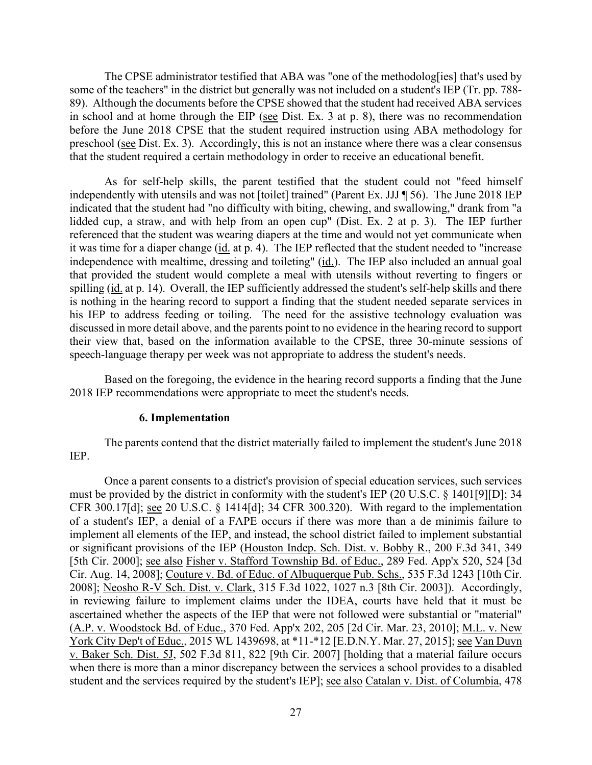in school and at home through the EIP ( $\frac{\text{see}}{\text{Test}}$  Dist. Ex. 3 at p. 8), there was no recommendation preschool (see Dist. Ex. 3). Accordingly, this is not an instance where there was a clear consensus The CPSE administrator testified that ABA was "one of the methodolog[ies] that's used by some of the teachers" in the district but generally was not included on a student's IEP (Tr. pp. 788- 89). Although the documents before the CPSE showed that the student had received ABA services before the June 2018 CPSE that the student required instruction using ABA methodology for that the student required a certain methodology in order to receive an educational benefit.

 As for self-help skills, the parent testified that the student could not "feed himself independently with utensils and was not [toilet] trained" (Parent Ex. JJJ ¶ 56). The June 2018 IEP lidded cup, a straw, and with help from an open cup" (Dist. Ex. 2 at p. 3). The IEP further referenced that the student was wearing diapers at the time and would not yet communicate when it was time for a diaper change (id. at p. 4). The IEP reflected that the student needed to "increase independence with mealtime, dressing and toileting" (id.). The IEP also included an annual goal spilling (id. at p. 14). Overall, the IEP sufficiently addressed the student's self-help skills and there his IEP to address feeding or toiling. The need for the assistive technology evaluation was indicated that the student had "no difficulty with biting, chewing, and swallowing," drank from "a that provided the student would complete a meal with utensils without reverting to fingers or is nothing in the hearing record to support a finding that the student needed separate services in discussed in more detail above, and the parents point to no evidence in the hearing record to support their view that, based on the information available to the CPSE, three 30-minute sessions of speech-language therapy per week was not appropriate to address the student's needs.

Based on the foregoing, the evidence in the hearing record supports a finding that the June 2018 IEP recommendations were appropriate to meet the student's needs.

#### **6. Implementation**

The parents contend that the district materially failed to implement the student's June 2018 IEP.

 of a student's IEP, a denial of a FAPE occurs if there was more than a de minimis failure to or significant provisions of the IEP (Houston Indep. Sch. Dist. v. Bobby R., 200 F.3d 341, 349 in reviewing failure to implement claims under the IDEA, courts have held that it must be student and the services required by the student's IEP]; see also Catalan v. Dist. of Columbia, 478 Once a parent consents to a district's provision of special education services, such services must be provided by the district in conformity with the student's IEP (20 U.S.C. § 1401[9][D]; 34 CFR 300.17[d]; see 20 U.S.C. § 1414[d]; 34 CFR 300.320). With regard to the implementation implement all elements of the IEP, and instead, the school district failed to implement substantial [5th Cir. 2000]; see also Fisher v. Stafford Township Bd. of Educ., 289 Fed. App'x 520, 524 [3d Cir. Aug. 14, 2008]; Couture v. Bd. of Educ. of Albuquerque Pub. Schs., 535 F.3d 1243 [10th Cir. 2008]; Neosho R-V Sch. Dist. v. Clark, 315 F.3d 1022, 1027 n.3 [8th Cir. 2003]). Accordingly, ascertained whether the aspects of the IEP that were not followed were substantial or "material" (A.P. v. Woodstock Bd. of Educ., 370 Fed. App'x 202, 205 [2d Cir. Mar. 23, 2010]; M.L. v. New York City Dep't of Educ., 2015 WL 1439698, at \*11-\*12 [E.D.N.Y. Mar. 27, 2015]; see Van Duyn v. Baker Sch. Dist. 5J, 502 F.3d 811, 822 [9th Cir. 2007] [holding that a material failure occurs when there is more than a minor discrepancy between the services a school provides to a disabled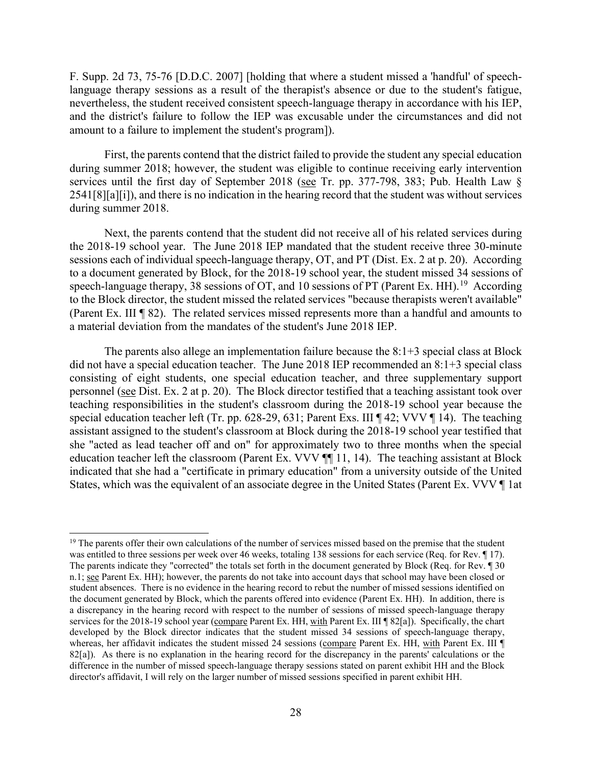language therapy sessions as a result of the therapist's absence or due to the student's fatigue, nevertheless, the student received consistent speech-language therapy in accordance with his IEP, and the district's failure to follow the IEP was excusable under the circumstances and did not F. Supp. 2d 73, 75-76 [D.D.C. 2007] [holding that where a student missed a 'handful' of speechamount to a failure to implement the student's program]).

 during summer 2018; however, the student was eligible to continue receiving early intervention services until the first day of September 2018 (see Tr. pp. 377-798, 383; Pub. Health Law § First, the parents contend that the district failed to provide the student any special education 2541[8][a][i]), and there is no indication in the hearing record that the student was without services during summer 2018.

 sessions each of individual speech-language therapy, OT, and PT (Dist. Ex. 2 at p. 20). According speech-language therapy, 38 sessions of OT, and 10 sessions of PT (Parent Ex. HH).<sup>19</sup> According (Parent Ex. III ¶ 82). The related services missed represents more than a handful and amounts to a material deviation from the mandates of the student's June 2018 IEP. Next, the parents contend that the student did not receive all of his related services during the 2018-19 school year. The June 2018 IEP mandated that the student receive three 30-minute to a document generated by Block, for the 2018-19 school year, the student missed 34 sessions of to the Block director, the student missed the related services "because therapists weren't available"

 did not have a special education teacher. The June 2018 IEP recommended an 8:1+3 special class personnel (see Dist. Ex. 2 at p. 20). The Block director testified that a teaching assistant took over special education teacher left (Tr. pp. 628-29, 631; Parent Exs. III ¶ 42; VVV ¶ 14). The teaching education teacher left the classroom (Parent Ex. VVV  $\P$  11, 14). The teaching assistant at Block indicated that she had a "certificate in primary education" from a university outside of the United The parents also allege an implementation failure because the 8:1+3 special class at Block consisting of eight students, one special education teacher, and three supplementary support teaching responsibilities in the student's classroom during the 2018-19 school year because the assistant assigned to the student's classroom at Block during the 2018-19 school year testified that she "acted as lead teacher off and on" for approximately two to three months when the special States, which was the equivalent of an associate degree in the United States (Parent Ex. VVV ¶ 1at

<span id="page-27-0"></span> The parents indicate they "corrected" the totals set forth in the document generated by Block (Req. for Rev. ¶ 30 the document generated by Block, which the parents offered into evidence (Parent Ex. HH). In addition, there is services for the 2018-19 school year (compare Parent Ex. HH, with Parent Ex. III ¶ 82[a]). Specifically, the chart whereas, her affidavit indicates the student missed 24 sessions (compare Parent Ex. HH, with Parent Ex. III ¶ 82[a]). As there is no explanation in the hearing record for the discrepancy in the parents' calculations or the director's affidavit, I will rely on the larger number of missed sessions specified in parent exhibit HH. <sup>19</sup> The parents offer their own calculations of the number of services missed based on the premise that the student was entitled to three sessions per week over 46 weeks, totaling 138 sessions for each service (Req. for Rev. ¶ 17). n.1; see Parent Ex. HH); however, the parents do not take into account days that school may have been closed or student absences. There is no evidence in the hearing record to rebut the number of missed sessions identified on a discrepancy in the hearing record with respect to the number of sessions of missed speech-language therapy developed by the Block director indicates that the student missed 34 sessions of speech-language therapy, difference in the number of missed speech-language therapy sessions stated on parent exhibit HH and the Block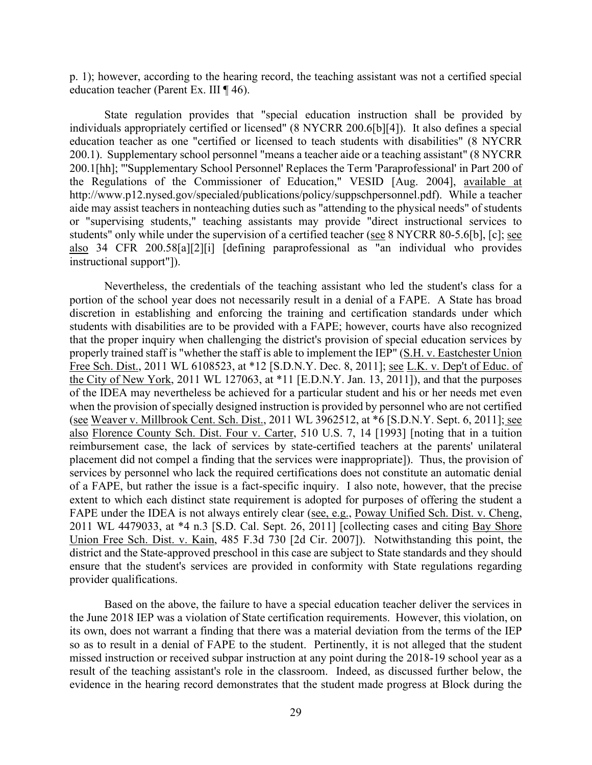p. 1); however, according to the hearing record, the teaching assistant was not a certified special education teacher (Parent Ex. III ¶ 46).

State regulation provides that "special education instruction shall be provided by individuals appropriately certified or licensed" (8 NYCRR 200.6[b][4]). It also defines a special education teacher as one "certified or licensed to teach students with disabilities" (8 NYCRR 200.1). Supplementary school personnel "means a teacher aide or a teaching assistant" (8 NYCRR 200.1[hh]; "'Supplementary School Personnel' Replaces the Term 'Paraprofessional' in Part 200 of the Regulations of the Commissioner of Education," VESID [Aug. 2004], available at [http://www.p12.nysed.gov/specialed/publications/policy/suppschpersonnel.pdf\)](http://www.p12.nysed.gov/specialed/publications/policy/suppschpersonnel.pdf). While a teacher aide may assist teachers in nonteaching duties such as "attending to the physical needs" of students or "supervising students," teaching assistants may provide "direct instructional services to students" only while under the supervision of a certified teacher (see 8 NYCRR 80-5.6[b], [c]; see also 34 CFR 200.58[a][2][i] [defining paraprofessional as "an individual who provides instructional support"]).

 portion of the school year does not necessarily result in a denial of a FAPE. A State has broad Free Sch. Dist., 2011 WL 6108523, at \*12 [S.D.N.Y. Dec. 8, 2011]; see L.K. v. Dep't of Educ. of Nevertheless, the credentials of the teaching assistant who led the student's class for a discretion in establishing and enforcing the training and certification standards under which students with disabilities are to be provided with a FAPE; however, courts have also recognized that the proper inquiry when challenging the district's provision of special education services by properly trained staff is "whether the staff is able to implement the IEP" (S.H. v. Eastchester Union the City of New York, 2011 WL 127063, at \*11 [E.D.N.Y. Jan. 13, 2011]), and that the purposes of the IDEA may nevertheless be achieved for a particular student and his or her needs met even when the provision of specially designed instruction is provided by personnel who are not certified (see Weaver v. Millbrook Cent. Sch. Dist., 2011 WL 3962512, at \*6 [S.D.N.Y. Sept. 6, 2011]; see also Florence County Sch. Dist. Four v. Carter, 510 U.S. 7, 14 [1993] [noting that in a tuition reimbursement case, the lack of services by state-certified teachers at the parents' unilateral placement did not compel a finding that the services were inappropriate]). Thus, the provision of services by personnel who lack the required certifications does not constitute an automatic denial of a FAPE, but rather the issue is a fact-specific inquiry. I also note, however, that the precise extent to which each distinct state requirement is adopted for purposes of offering the student a FAPE under the IDEA is not always entirely clear (see, e.g., Poway Unified Sch. Dist. v. Cheng, 2011 WL 4479033, at \*4 n.3 [S.D. Cal. Sept. 26, 2011] [collecting cases and citing Bay Shore Union Free Sch. Dist. v. Kain, 485 F.3d 730 [2d Cir. 2007]). Notwithstanding this point, the district and the State-approved preschool in this case are subject to State standards and they should ensure that the student's services are provided in conformity with State regulations regarding provider qualifications.

 result of the teaching assistant's role in the classroom. Indeed, as discussed further below, the evidence in the hearing record demonstrates that the student made progress at Block during the Based on the above, the failure to have a special education teacher deliver the services in the June 2018 IEP was a violation of State certification requirements. However, this violation, on its own, does not warrant a finding that there was a material deviation from the terms of the IEP so as to result in a denial of FAPE to the student. Pertinently, it is not alleged that the student missed instruction or received subpar instruction at any point during the 2018-19 school year as a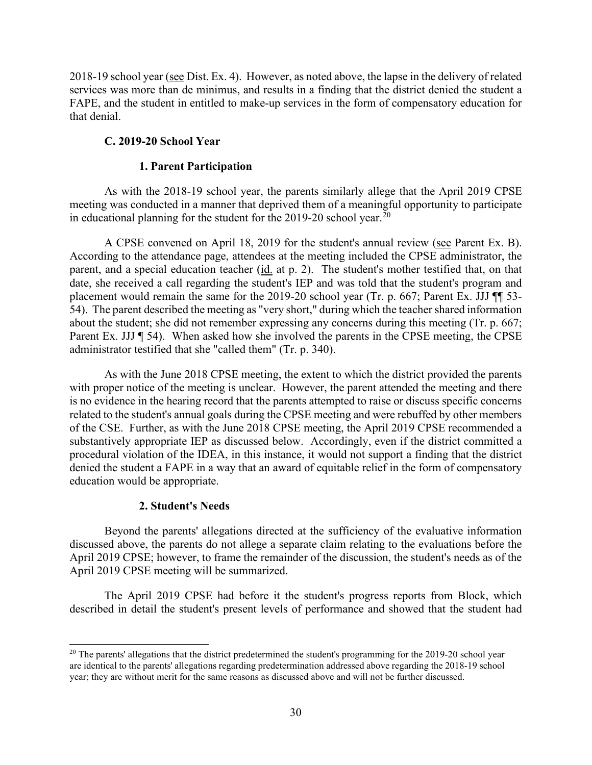2018-19 school year (see Dist. Ex. 4). However, as noted above, the lapse in the delivery of related services was more than de minimus, and results in a finding that the district denied the student a FAPE, and the student in entitled to make-up services in the form of compensatory education for that denial.

# **C. 2019-20 School Year**

# **1. Parent Participation**

 meeting was conducted in a manner that deprived them of a meaningful opportunity to participate As with the 2018-19 school year, the parents similarly allege that the April 2019 CPSE in educational planning for the student for the  $2019-20$  $2019-20$  school year.<sup>20</sup>

A CPSE convened on April 18, 2019 for the student's annual review (see Parent Ex. B). parent, and a special education teacher (id. at p. 2). The student's mother testified that, on that 54). The parent described the meeting as "very short," during which the teacher shared information According to the attendance page, attendees at the meeting included the CPSE administrator, the date, she received a call regarding the student's IEP and was told that the student's program and placement would remain the same for the 2019-20 school year (Tr. p. 667; Parent Ex. JJJ  $\P$  53about the student; she did not remember expressing any concerns during this meeting (Tr. p. 667; Parent Ex. JJJ ¶ 54). When asked how she involved the parents in the CPSE meeting, the CPSE administrator testified that she "called them" (Tr. p. 340).

 with proper notice of the meeting is unclear. However, the parent attended the meeting and there related to the student's annual goals during the CPSE meeting and were rebuffed by other members procedural violation of the IDEA, in this instance, it would not support a finding that the district denied the student a FAPE in a way that an award of equitable relief in the form of compensatory education would be appropriate. As with the June 2018 CPSE meeting, the extent to which the district provided the parents is no evidence in the hearing record that the parents attempted to raise or discuss specific concerns of the CSE. Further, as with the June 2018 CPSE meeting, the April 2019 CPSE recommended a substantively appropriate IEP as discussed below. Accordingly, even if the district committed a

# **2. Student's Needs**

 discussed above, the parents do not allege a separate claim relating to the evaluations before the Beyond the parents' allegations directed at the sufficiency of the evaluative information April 2019 CPSE; however, to frame the remainder of the discussion, the student's needs as of the April 2019 CPSE meeting will be summarized.

 described in detail the student's present levels of performance and showed that the student had The April 2019 CPSE had before it the student's progress reports from Block, which

<span id="page-29-0"></span> $20$  The parents' allegations that the district predetermined the student's programming for the 2019-20 school year are identical to the parents' allegations regarding predetermination addressed above regarding the 2018-19 school year; they are without merit for the same reasons as discussed above and will not be further discussed.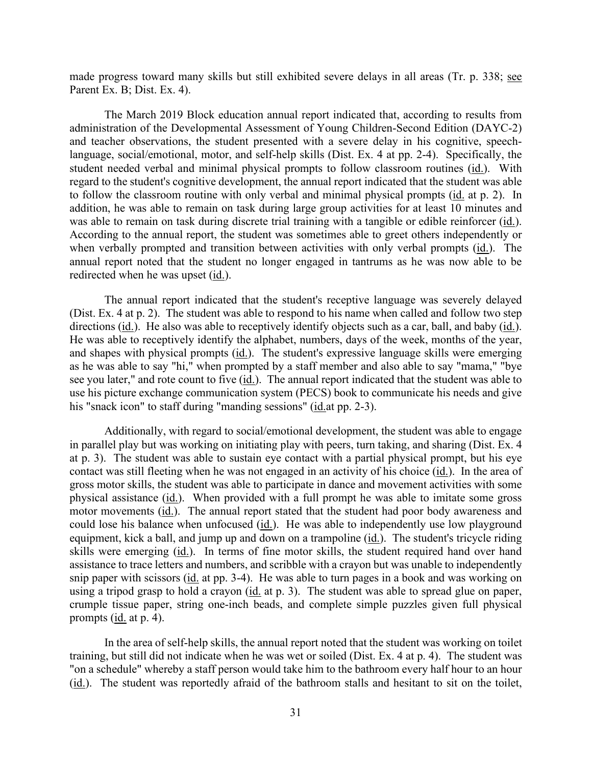made progress toward many skills but still exhibited severe delays in all areas (Tr. p. 338; see Parent Ex. B; Dist. Ex. 4).

 administration of the Developmental Assessment of Young Children-Second Edition (DAYC-2) student needed verbal and minimal physical prompts to follow classroom routines (id.). With to follow the classroom routine with only verbal and minimal physical prompts (id. at p. 2). In was able to remain on task during discrete trial training with a tangible or edible reinforcer (id.). was able to remain on task during discrete trial training with a tangible or edible reinforcer (id.).<br>According to the annual report, the student was sometimes able to greet others independently or The March 2019 Block education annual report indicated that, according to results from and teacher observations, the student presented with a severe delay in his cognitive, speechlanguage, social/emotional, motor, and self-help skills (Dist. Ex. 4 at pp. 2-4). Specifically, the regard to the student's cognitive development, the annual report indicated that the student was able addition, he was able to remain on task during large group activities for at least 10 minutes and when verbally prompted and transition between activities with only verbal prompts (id.). The annual report noted that the student no longer engaged in tantrums as he was now able to be redirected when he was upset (id.).

 (Dist. Ex. 4 at p. 2). The student was able to respond to his name when called and follow two step directions (id.). He also was able to receptively identify objects such as a car, ball, and baby (id.). see you later," and rote count to five (*id.*). The annual report indicated that the student was able to use his picture exchange communication system (PECS) book to communicate his needs and give The annual report indicated that the student's receptive language was severely delayed He was able to receptively identify the alphabet, numbers, days of the week, months of the year, and shapes with physical prompts (id.). The student's expressive language skills were emerging as he was able to say "hi," when prompted by a staff member and also able to say "mama," "bye his "snack icon" to staff during "manding sessions" (id. at pp. 2-3).

contact was still fleeting when he was not engaged in an activity of his choice (id.). In the area of physical assistance (*id.*). When provided with a full prompt he was able to imitate some gross motor movements (id.). The annual report stated that the student had poor body awareness and could lose his balance when unfocused (id.). He was able to independently use low playground skills were emerging (id.). In terms of fine motor skills, the student required hand over hand assistance to trace letters and numbers, and scribble with a crayon but was unable to independently snip paper with scissors (*id.* at pp. 3-4). He was able to turn pages in a book and was working on Additionally, with regard to social/emotional development, the student was able to engage in parallel play but was working on initiating play with peers, turn taking, and sharing (Dist. Ex. 4 at p. 3). The student was able to sustain eye contact with a partial physical prompt, but his eye gross motor skills, the student was able to participate in dance and movement activities with some equipment, kick a ball, and jump up and down on a trampoline (id.). The student's tricycle riding using a tripod grasp to hold a crayon (id. at p. 3). The student was able to spread glue on paper, crumple tissue paper, string one-inch beads, and complete simple puzzles given full physical prompts (id. at p. 4).

In the area of self-help skills, the annual report noted that the student was working on toilet training, but still did not indicate when he was wet or soiled (Dist. Ex. 4 at p. 4). The student was "on a schedule" whereby a staff person would take him to the bathroom every half hour to an hour (id.). The student was reportedly afraid of the bathroom stalls and hesitant to sit on the toilet,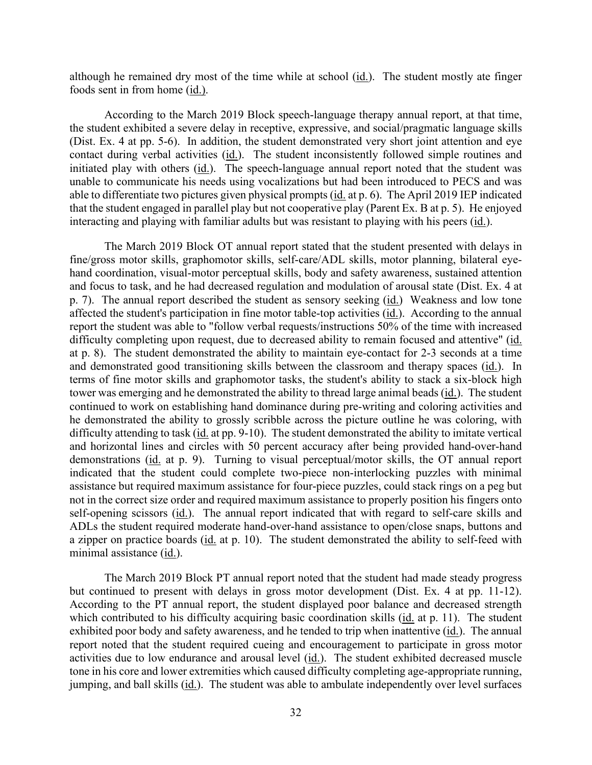although he remained dry most of the time while at school  $(id)$ . The student mostly ate finger foods sent in from home (id.).

initiated play with others (id.). The speech-language annual report noted that the student was unable to communicate his needs using vocalizations but had been introduced to PECS and was that the student engaged in parallel play but not cooperative play (Parent Ex. B at p. 5). He enjoyed According to the March 2019 Block speech-language therapy annual report, at that time, the student exhibited a severe delay in receptive, expressive, and social/pragmatic language skills (Dist. Ex. 4 at pp. 5-6). In addition, the student demonstrated very short joint attention and eye contact during verbal activities (id.). The student inconsistently followed simple routines and able to differentiate two pictures given physical prompts (id. at p. 6). The April 2019 IEP indicated interacting and playing with familiar adults but was resistant to playing with his peers (id.).

p. 7). The annual report described the student as sensory seeking (*id.*) Weakness and low tone difficulty completing upon request, due to decreased ability to remain focused and attentive" (id. and demonstrated good transitioning skills between the classroom and therapy spaces (id.). In terms of fine motor skills and graphomotor tasks, the student's ability to stack a six-block high tower was emerging and he demonstrated the ability to thread large animal beads (id.). The student difficulty attending to task (*id.* at pp. 9-10). The student demonstrated the ability to imitate vertical and horizontal lines and circles with 50 percent accuracy after being provided hand-over-hand demonstrations (id. at p. 9). Turning to visual perceptual/motor skills, the OT annual report self-opening scissors (id.). The annual report indicated that with regard to self-care skills and The March 2019 Block OT annual report stated that the student presented with delays in fine/gross motor skills, graphomotor skills, self-care/ADL skills, motor planning, bilateral eyehand coordination, visual-motor perceptual skills, body and safety awareness, sustained attention and focus to task, and he had decreased regulation and modulation of arousal state (Dist. Ex. 4 at affected the student's participation in fine motor table-top activities (id.). According to the annual report the student was able to "follow verbal requests/instructions 50% of the time with increased at p. 8). The student demonstrated the ability to maintain eye-contact for 2-3 seconds at a time continued to work on establishing hand dominance during pre-writing and coloring activities and he demonstrated the ability to grossly scribble across the picture outline he was coloring, with indicated that the student could complete two-piece non-interlocking puzzles with minimal assistance but required maximum assistance for four-piece puzzles, could stack rings on a peg but not in the correct size order and required maximum assistance to properly position his fingers onto ADLs the student required moderate hand-over-hand assistance to open/close snaps, buttons and a zipper on practice boards ( $id$ , at p. 10). The student demonstrated the ability to self-feed with minimal assistance (id.).

 The March 2019 Block PT annual report noted that the student had made steady progress but continued to present with delays in gross motor development (Dist. Ex. 4 at pp. 11-12). exhibited poor body and safety awareness, and he tended to trip when inattentive (id.). The annual jumping, and ball skills (*id.*). The student was able to ambulate independently over level surfaces According to the PT annual report, the student displayed poor balance and decreased strength which contributed to his difficulty acquiring basic coordination skills (id. at p. 11). The student report noted that the student required cueing and encouragement to participate in gross motor activities due to low endurance and arousal level (id.). The student exhibited decreased muscle tone in his core and lower extremities which caused difficulty completing age-appropriate running,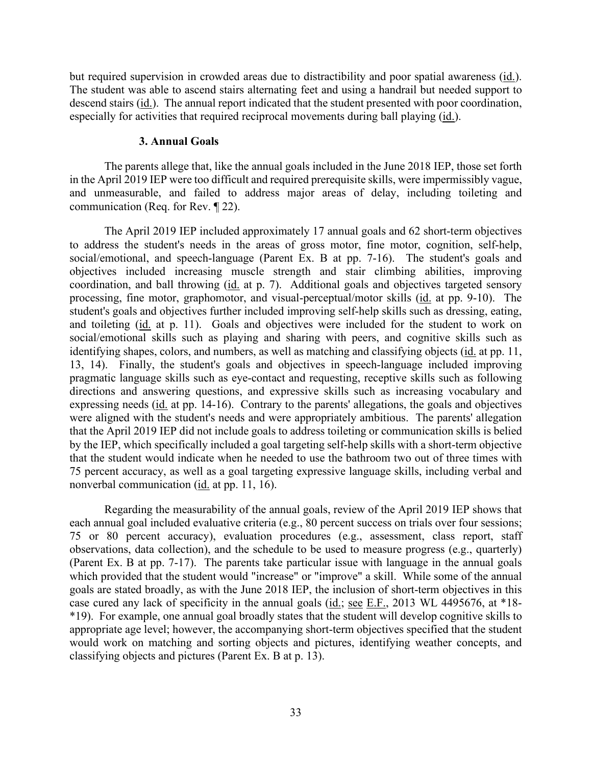but required supervision in crowded areas due to distractibility and poor spatial awareness (id.). especially for activities that required reciprocal movements during ball playing (*id.*). The student was able to ascend stairs alternating feet and using a handrail but needed support to descend stairs (id.). The annual report indicated that the student presented with poor coordination,

#### **3. Annual Goals**

The parents allege that, like the annual goals included in the June 2018 IEP, those set forth in the April 2019 IEP were too difficult and required prerequisite skills, were impermissibly vague, and unmeasurable, and failed to address major areas of delay, including toileting and communication (Req. for Rev. ¶ 22).

 social/emotional, and speech-language (Parent Ex. B at pp. 7-16). The student's goals and coordination, and ball throwing (id. at p. 7). Additional goals and objectives targeted sensory and toileting (id. at p. 11). Goals and objectives were included for the student to work on 75 percent accuracy, as well as a goal targeting expressive language skills, including verbal and The April 2019 IEP included approximately 17 annual goals and 62 short-term objectives to address the student's needs in the areas of gross motor, fine motor, cognition, self-help, objectives included increasing muscle strength and stair climbing abilities, improving processing, fine motor, graphomotor, and visual-perceptual/motor skills (id. at pp. 9-10). The student's goals and objectives further included improving self-help skills such as dressing, eating, social/emotional skills such as playing and sharing with peers, and cognitive skills such as identifying shapes, colors, and numbers, as well as matching and classifying objects (id. at pp. 11, 13, 14). Finally, the student's goals and objectives in speech-language included improving pragmatic language skills such as eye-contact and requesting, receptive skills such as following directions and answering questions, and expressive skills such as increasing vocabulary and expressing needs (id. at pp. 14-16). Contrary to the parents' allegations, the goals and objectives were aligned with the student's needs and were appropriately ambitious. The parents' allegation that the April 2019 IEP did not include goals to address toileting or communication skills is belied by the IEP, which specifically included a goal targeting self-help skills with a short-term objective that the student would indicate when he needed to use the bathroom two out of three times with nonverbal communication (id. at pp. 11, 16).

 Regarding the measurability of the annual goals, review of the April 2019 IEP shows that case cured any lack of specificity in the annual goals (*id.*; <u>see E.F.</u>, 2013 WL 4495676, at \*18-<br>\*19). For example, one annual goal broadly states that the student will develop cognitive skills to each annual goal included evaluative criteria (e.g., 80 percent success on trials over four sessions; 75 or 80 percent accuracy), evaluation procedures (e.g., assessment, class report, staff observations, data collection), and the schedule to be used to measure progress (e.g., quarterly) (Parent Ex. B at pp. 7-17). The parents take particular issue with language in the annual goals which provided that the student would "increase" or "improve" a skill. While some of the annual goals are stated broadly, as with the June 2018 IEP, the inclusion of short-term objectives in this \*19). For example, one annual goal broadly states that the student will develop cognitive skills to appropriate age level; however, the accompanying short-term objectives specified that the student would work on matching and sorting objects and pictures, identifying weather concepts, and classifying objects and pictures (Parent Ex. B at p. 13).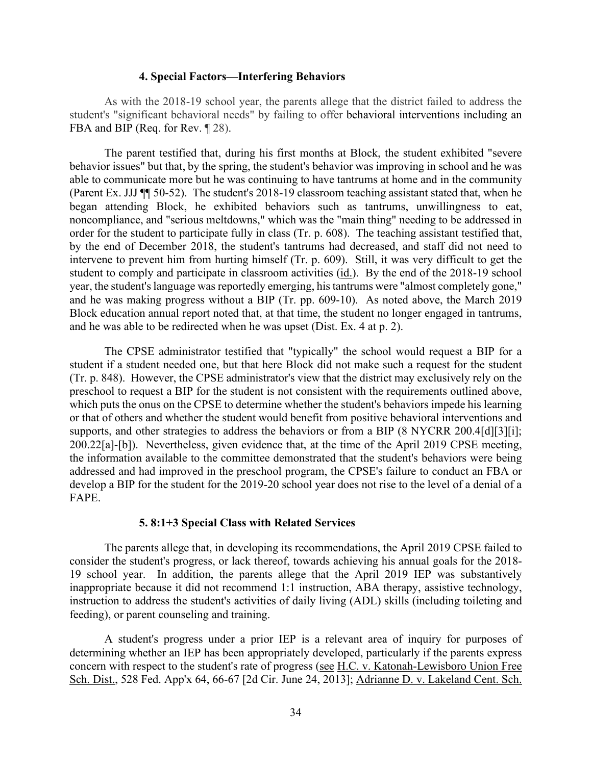#### **4. Special Factors—Interfering Behaviors**

As with the 2018-19 school year, the parents allege that the district failed to address the student's "significant behavioral needs" by failing to offer behavioral interventions including an FBA and BIP (Req. for Rev.  $\sqrt{28}$ ).

 (Parent Ex. JJJ ¶¶ 50-52). The student's 2018-19 classroom teaching assistant stated that, when he intervene to prevent him from hurting himself (Tr. p. 609). Still, it was very difficult to get the and he was making progress without a BIP (Tr. pp. 609-10). As noted above, the March 2019 The parent testified that, during his first months at Block, the student exhibited "severe behavior issues" but that, by the spring, the student's behavior was improving in school and he was able to communicate more but he was continuing to have tantrums at home and in the community began attending Block, he exhibited behaviors such as tantrums, unwillingness to eat, noncompliance, and "serious meltdowns," which was the "main thing" needing to be addressed in order for the student to participate fully in class (Tr. p. 608). The teaching assistant testified that, by the end of December 2018, the student's tantrums had decreased, and staff did not need to student to comply and participate in classroom activities (id.). By the end of the 2018-19 school year, the student's language was reportedly emerging, his tantrums were "almost completely gone," Block education annual report noted that, at that time, the student no longer engaged in tantrums, and he was able to be redirected when he was upset (Dist. Ex. 4 at p. 2).

 (Tr. p. 848). However, the CPSE administrator's view that the district may exclusively rely on the 200.22[a]-[b]). Nevertheless, given evidence that, at the time of the April 2019 CPSE meeting, develop a BIP for the student for the 2019-20 school year does not rise to the level of a denial of a The CPSE administrator testified that "typically" the school would request a BIP for a student if a student needed one, but that here Block did not make such a request for the student preschool to request a BIP for the student is not consistent with the requirements outlined above, which puts the onus on the CPSE to determine whether the student's behaviors impede his learning or that of others and whether the student would benefit from positive behavioral interventions and supports, and other strategies to address the behaviors or from a BIP (8 NYCRR 200.4[d][3][i]; the information available to the committee demonstrated that the student's behaviors were being addressed and had improved in the preschool program, the CPSE's failure to conduct an FBA or FAPE.

#### **5. 8:1+3 Special Class with Related Services**

 consider the student's progress, or lack thereof, towards achieving his annual goals for the 2018- The parents allege that, in developing its recommendations, the April 2019 CPSE failed to 19 school year. In addition, the parents allege that the April 2019 IEP was substantively inappropriate because it did not recommend 1:1 instruction, ABA therapy, assistive technology, instruction to address the student's activities of daily living (ADL) skills (including toileting and feeding), or parent counseling and training.

A student's progress under a prior IEP is a relevant area of inquiry for purposes of determining whether an IEP has been appropriately developed, particularly if the parents express concern with respect to the student's rate of progress (see H.C. v. Katonah-Lewisboro Union Free Sch. Dist., 528 Fed. App'x 64, 66-67 [2d Cir. June 24, 2013]; Adrianne D. v. Lakeland Cent. Sch.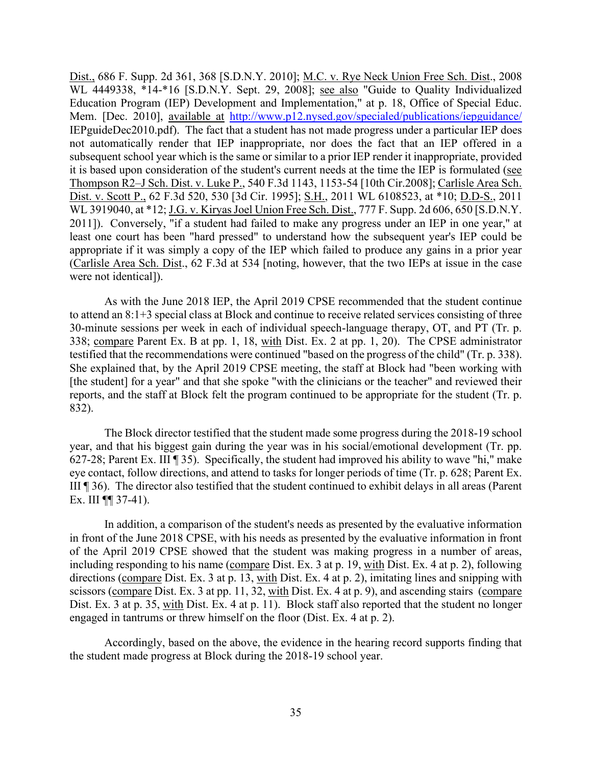Dist., 686 F. Supp. 2d 361, 368 [S.D.N.Y. 2010]; <u>M.C. v. Rye Neck Union Free Sch. Dist</u>., 2008 IEPguideDec2010.pdf). The fact that a student has not made progress under a particular IEP does WL 4449338, \*14-\*16 [S.D.N.Y. Sept. 29, 2008]; see also "Guide to Quality Individualized Education Program (IEP) Development and Implementation," at p. 18, Office of Special Educ. Mem. [Dec. 2010], available at http://www.p12.nysed.gov/specialed/publications/iepguidance/ not automatically render that IEP inappropriate, nor does the fact that an IEP offered in a subsequent school year which is the same or similar to a prior IEP render it inappropriate, provided it is based upon consideration of the student's current needs at the time the IEP is formulated (see Thompson R2–J Sch. Dist. v. Luke P., 540 F.3d 1143, 1153-54 [10th Cir.2008]; Carlisle Area Sch. Dist. v. Scott P., 62 F.3d 520, 530 [3d Cir. 1995]; S.H., 2011 WL 6108523, at \*10; D.D-S., 2011 WL 3919040, at \*12; J.G. v. Kiryas Joel Union Free Sch. Dist., 777 F. Supp. 2d 606, 650 [S.D.N.Y. 2011]). Conversely, "if a student had failed to make any progress under an IEP in one year," at least one court has been "hard pressed" to understand how the subsequent year's IEP could be appropriate if it was simply a copy of the IEP which failed to produce any gains in a prior year (Carlisle Area Sch. Dist., 62 F.3d at 534 [noting, however, that the two IEPs at issue in the case were not identical]).

 30-minute sessions per week in each of individual speech-language therapy, OT, and PT (Tr. p. 338; compare Parent Ex. B at pp. 1, 18, with Dist. Ex. 2 at pp. 1, 20). The CPSE administrator testified that the recommendations were continued "based on the progress of the child" (Tr. p. 338). As with the June 2018 IEP, the April 2019 CPSE recommended that the student continue to attend an 8:1+3 special class at Block and continue to receive related services consisting of three She explained that, by the April 2019 CPSE meeting, the staff at Block had "been working with [the student] for a year" and that she spoke "with the clinicians or the teacher" and reviewed their reports, and the staff at Block felt the program continued to be appropriate for the student (Tr. p. 832).

 III ¶ 36). The director also testified that the student continued to exhibit delays in all areas (Parent Ex. III  $\P$  37-41). The Block director testified that the student made some progress during the 2018-19 school year, and that his biggest gain during the year was in his social/emotional development (Tr. pp. 627-28; Parent Ex. III ¶ 35). Specifically, the student had improved his ability to wave "hi," make eye contact, follow directions, and attend to tasks for longer periods of time (Tr. p. 628; Parent Ex.

Ex. III  $\P$  37-41).<br>In addition, a comparison of the student's needs as presented by the evaluative information including responding to his name (compare Dist. Ex. 3 at p. 19, with Dist. Ex. 4 at p. 2), following directions (compare Dist. Ex. 3 at p. 13, with Dist. Ex. 4 at p. 2), imitating lines and snipping with scissors (compare Dist. Ex. 3 at pp. 11, 32, with Dist. Ex. 4 at p. 9), and ascending stairs (compare Dist. Ex. 3 at p. 35, with Dist. Ex. 4 at p. 11). Block staff also reported that the student no longer in front of the June 2018 CPSE, with his needs as presented by the evaluative information in front of the April 2019 CPSE showed that the student was making progress in a number of areas, engaged in tantrums or threw himself on the floor (Dist. Ex. 4 at p. 2).

Accordingly, based on the above, the evidence in the hearing record supports finding that the student made progress at Block during the 2018-19 school year.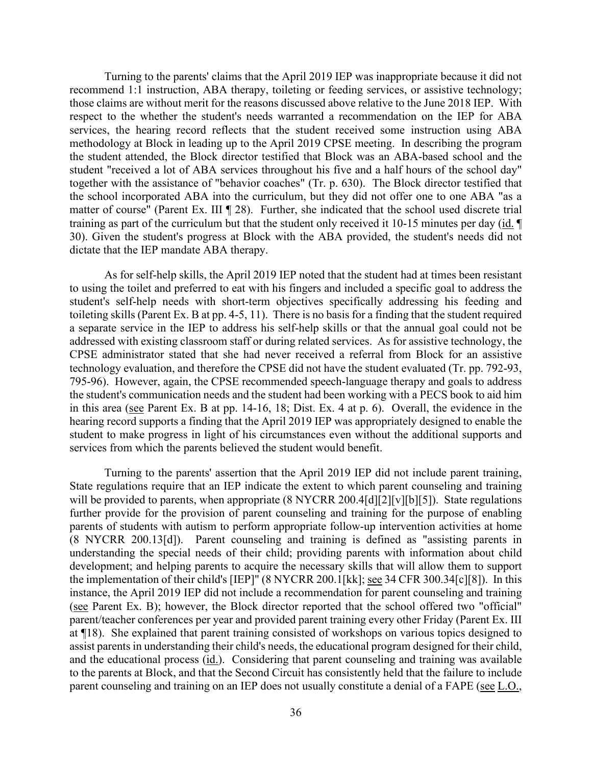Turning to the parents' claims that the April 2019 IEP was inappropriate because it did not recommend 1:1 instruction, ABA therapy, toileting or feeding services, or assistive technology; those claims are without merit for the reasons discussed above relative to the June 2018 IEP. With respect to the whether the student's needs warranted a recommendation on the IEP for ABA services, the hearing record reflects that the student received some instruction using ABA methodology at Block in leading up to the April 2019 CPSE meeting. In describing the program the student attended, the Block director testified that Block was an ABA-based school and the student "received a lot of ABA services throughout his five and a half hours of the school day" together with the assistance of "behavior coaches" (Tr. p. 630). The Block director testified that the school incorporated ABA into the curriculum, but they did not offer one to one ABA "as a matter of course" (Parent Ex. III ¶ 28). Further, she indicated that the school used discrete trial training as part of the curriculum but that the student only received it 10-15 minutes per day (id. ¶ 30). Given the student's progress at Block with the ABA provided, the student's needs did not dictate that the IEP mandate ABA therapy.

 toileting skills (Parent Ex. B at pp. 4-5, 11). There is no basis for a finding that the student required in this area (see Parent Ex. B at pp. 14-16, 18; Dist. Ex. 4 at p. 6). Overall, the evidence in the As for self-help skills, the April 2019 IEP noted that the student had at times been resistant to using the toilet and preferred to eat with his fingers and included a specific goal to address the student's self-help needs with short-term objectives specifically addressing his feeding and a separate service in the IEP to address his self-help skills or that the annual goal could not be addressed with existing classroom staff or during related services. As for assistive technology, the CPSE administrator stated that she had never received a referral from Block for an assistive technology evaluation, and therefore the CPSE did not have the student evaluated (Tr. pp. 792-93, 795-96). However, again, the CPSE recommended speech-language therapy and goals to address the student's communication needs and the student had been working with a PECS book to aid him hearing record supports a finding that the April 2019 IEP was appropriately designed to enable the student to make progress in light of his circumstances even without the additional supports and services from which the parents believed the student would benefit.

and the educational process (*id.*). Considering that parent counseling and training was available parent counseling and training on an IEP does not usually constitute a denial of a FAPE (see L.O., Turning to the parents' assertion that the April 2019 IEP did not include parent training, State regulations require that an IEP indicate the extent to which parent counseling and training will be provided to parents, when appropriate (8 NYCRR 200.4[d][2][v][b][5]). State regulations further provide for the provision of parent counseling and training for the purpose of enabling parents of students with autism to perform appropriate follow-up intervention activities at home (8 NYCRR 200.13[d]). Parent counseling and training is defined as "assisting parents in understanding the special needs of their child; providing parents with information about child development; and helping parents to acquire the necessary skills that will allow them to support the implementation of their child's [IEP]" (8 NYCRR 200.1[kk]; see 34 CFR 300.34[c][8]). In this instance, the April 2019 IEP did not include a recommendation for parent counseling and training (see Parent Ex. B); however, the Block director reported that the school offered two "official" parent/teacher conferences per year and provided parent training every other Friday (Parent Ex. III at ¶18). She explained that parent training consisted of workshops on various topics designed to assist parents in understanding their child's needs, the educational program designed for their child, to the parents at Block, and that the Second Circuit has consistently held that the failure to include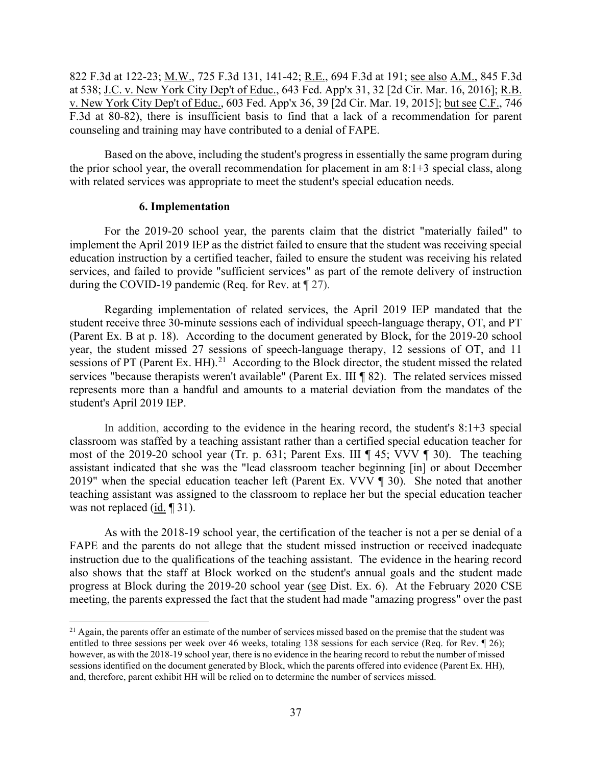822 F.3d at 122-23; M.W., 725 F.3d 131, 141-42; R.E., 694 F.3d at 191; see also A.M., 845 F.3d at 538; <u>J.C. v. New York City Dep't of Educ.</u>, 643 Fed. App'x 31, 32 [2d Cir. Mar. 16, 2016]; <u>R.B.</u> counseling and training may have contributed to a denial of FAPE. v. New York City Dep't of Educ., 603 Fed. App'x 36, 39 [2d Cir. Mar. 19, 2015]; but see C.F., 746 F.3d at 80-82), there is insufficient basis to find that a lack of a recommendation for parent

Based on the above, including the student's progress in essentially the same program during the prior school year, the overall recommendation for placement in am 8:1+3 special class, along with related services was appropriate to meet the student's special education needs.

#### **6. Implementation**

 services, and failed to provide "sufficient services" as part of the remote delivery of instruction For the 2019-20 school year, the parents claim that the district "materially failed" to implement the April 2019 IEP as the district failed to ensure that the student was receiving special education instruction by a certified teacher, failed to ensure the student was receiving his related during the COVID-19 pandemic (Req. for Rev. at ¶ 27).

 Regarding implementation of related services, the April 2019 IEP mandated that the (Parent Ex. B at p. 18). According to the document generated by Block, for the 2019-20 school sessions of PT (Parent Ex. HH).<sup>[21](#page-36-0)</sup> According to the Block director, the student missed the related student's April 2019 IEP. student receive three 30-minute sessions each of individual speech-language therapy, OT, and PT year, the student missed 27 sessions of speech-language therapy, 12 sessions of OT, and 11 services "because therapists weren't available" (Parent Ex. III ¶ 82). The related services missed represents more than a handful and amounts to a material deviation from the mandates of the

 most of the 2019-20 school year (Tr. p. 631; Parent Exs. III ¶ 45; VVV ¶ 30). The teaching 2019" when the special education teacher left (Parent Ex. VVV ¶ 30). She noted that another was not replaced  $(id. \P 31)$ . In addition, according to the evidence in the hearing record, the student's 8:1+3 special classroom was staffed by a teaching assistant rather than a certified special education teacher for assistant indicated that she was the "lead classroom teacher beginning [in] or about December teaching assistant was assigned to the classroom to replace her but the special education teacher

progress at Block during the 2019-20 school year (see Dist. Ex. 6). At the February 2020 CSE As with the 2018-19 school year, the certification of the teacher is not a per se denial of a FAPE and the parents do not allege that the student missed instruction or received inadequate instruction due to the qualifications of the teaching assistant. The evidence in the hearing record also shows that the staff at Block worked on the student's annual goals and the student made meeting, the parents expressed the fact that the student had made "amazing progress" over the past

<span id="page-36-0"></span> $^{21}$  Again, the parents offer an estimate of the number of services missed based on the premise that the student was entitled to three sessions per week over 46 weeks, totaling 138 sessions for each service (Req. for Rev. ¶ 26); however, as with the 2018-19 school year, there is no evidence in the hearing record to rebut the number of missed sessions identified on the document generated by Block, which the parents offered into evidence (Parent Ex. HH), and, therefore, parent exhibit HH will be relied on to determine the number of services missed.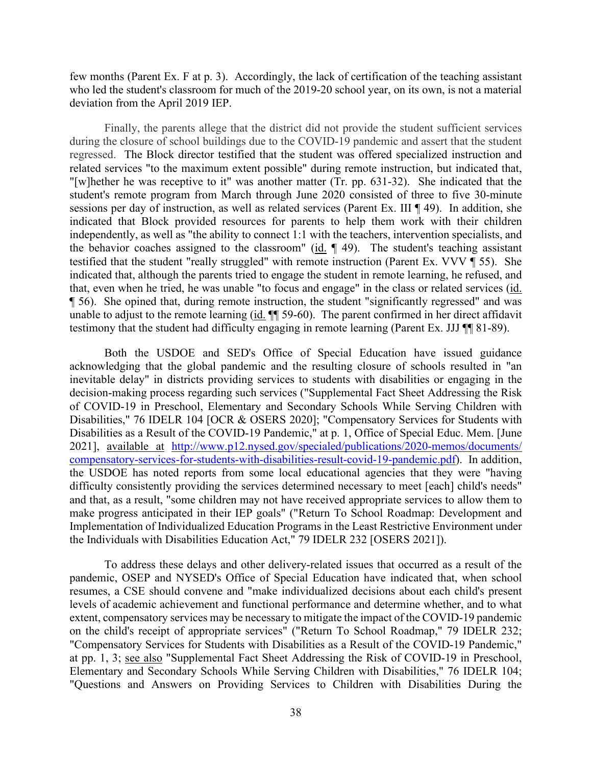few months (Parent Ex. F at p. 3). Accordingly, the lack of certification of the teaching assistant who led the student's classroom for much of the 2019-20 school year, on its own, is not a material deviation from the April 2019 IEP.

 regressed. The Block director testified that the student was offered specialized instruction and the behavior coaches assigned to the classroom" ( $id$ .  $\parallel$  49). The student's teaching assistant testified that the student "really struggled" with remote instruction (Parent Ex. VVV ¶ 55). She that, even when he tried, he was unable "to focus and engage" in the class or related services (id. ¶ 56). She opined that, during remote instruction, the student "significantly regressed" and was testimony that the student had difficulty engaging in remote learning (Parent Ex. JJJ ¶¶ 81-89). Finally, the parents allege that the district did not provide the student sufficient services during the closure of school buildings due to the COVID-19 pandemic and assert that the student related services "to the maximum extent possible" during remote instruction, but indicated that, "[w]hether he was receptive to it" was another matter (Tr. pp. 631-32). She indicated that the student's remote program from March through June 2020 consisted of three to five 30-minute sessions per day of instruction, as well as related services (Parent Ex. III ¶ 49). In addition, she indicated that Block provided resources for parents to help them work with their children independently, as well as "the ability to connect 1:1 with the teachers, intervention specialists, and indicated that, although the parents tried to engage the student in remote learning, he refused, and unable to adjust to the remote learning (id. ¶¶ 59-60). The parent confirmed in her direct affidavit

 the USDOE has noted reports from some local educational agencies that they were "having make progress anticipated in their IEP goals" ("Return To School Roadmap: Development and Both the USDOE and SED's Office of Special Education have issued guidance acknowledging that the global pandemic and the resulting closure of schools resulted in "an inevitable delay" in districts providing services to students with disabilities or engaging in the decision-making process regarding such services ("Supplemental Fact Sheet Addressing the Risk of COVID-19 in Preschool, Elementary and Secondary Schools While Serving Children with Disabilities," 76 IDELR 104 [OCR & OSERS 2020]; "Compensatory Services for Students with Disabilities as a Result of the COVID-19 Pandemic," at p. 1, Office of Special Educ. Mem. [June 2021], available at [http://www.p12.nysed.gov/specialed/publications/2020-memos/documents/](http://www.p12.nysed.gov/specialed/publications/2020-memos/documents/%20compensatory-services-for-students-with-disabilities-result-covid-19-pandemic.pdf)  [compensatory-services-for-students-with-disabilities-result-covid-19-pandemic.pdf\)](http://www.p12.nysed.gov/specialed/publications/2020-memos/documents/%20compensatory-services-for-students-with-disabilities-result-covid-19-pandemic.pdf). In addition, difficulty consistently providing the services determined necessary to meet [each] child's needs" and that, as a result, "some children may not have received appropriate services to allow them to Implementation of Individualized Education Programs in the Least Restrictive Environment under the Individuals with Disabilities Education Act," 79 IDELR 232 [OSERS 2021]).

To address these delays and other delivery-related issues that occurred as a result of the pandemic, OSEP and NYSED's Office of Special Education have indicated that, when school resumes, a CSE should convene and "make individualized decisions about each child's present levels of academic achievement and functional performance and determine whether, and to what extent, compensatory services may be necessary to mitigate the impact of the COVID-19 pandemic on the child's receipt of appropriate services" ("Return To School Roadmap," 79 IDELR 232; "Compensatory Services for Students with Disabilities as a Result of the COVID-19 Pandemic," at pp. 1, 3; see also "Supplemental Fact Sheet Addressing the Risk of COVID-19 in Preschool, Elementary and Secondary Schools While Serving Children with Disabilities," 76 IDELR 104; "Questions and Answers on Providing Services to Children with Disabilities During the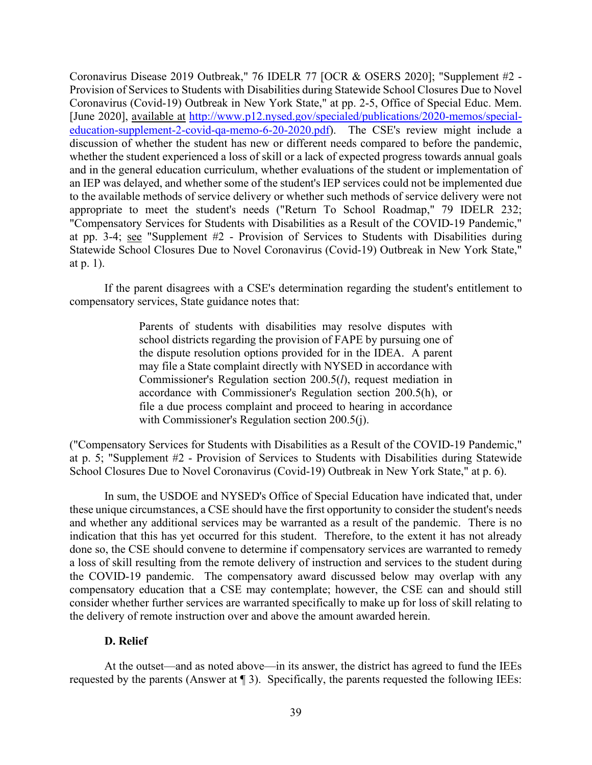at pp. 3-4; see "Supplement #2 - Provision of Services to Students with Disabilities during Coronavirus Disease 2019 Outbreak," 76 IDELR 77 [OCR & OSERS 2020]; "Supplement #2 - Provision of Services to Students with Disabilities during Statewide School Closures Due to Novel Coronavirus (Covid-19) Outbreak in New York State," at pp. 2-5, Office of Special Educ. Mem. [June 2020], available at [http://www.p12.nysed.gov/specialed/publications/2020-memos/special](http://www.p12.nysed.gov/specialed/publications/2020-memos/special-education-supplement-2-covid-qa-memo-6-20-2020.pdf)[education-supplement-2-covid-qa-memo-6-20-2020.pdf\)](http://www.p12.nysed.gov/specialed/publications/2020-memos/special-education-supplement-2-covid-qa-memo-6-20-2020.pdf). The CSE's review might include a discussion of whether the student has new or different needs compared to before the pandemic, whether the student experienced a loss of skill or a lack of expected progress towards annual goals and in the general education curriculum, whether evaluations of the student or implementation of an IEP was delayed, and whether some of the student's IEP services could not be implemented due to the available methods of service delivery or whether such methods of service delivery were not appropriate to meet the student's needs ("Return To School Roadmap," 79 IDELR 232; "Compensatory Services for Students with Disabilities as a Result of the COVID-19 Pandemic," Statewide School Closures Due to Novel Coronavirus (Covid-19) Outbreak in New York State," at p. 1).

 compensatory services, State guidance notes that: If the parent disagrees with a CSE's determination regarding the student's entitlement to

> Parents of students with disabilities may resolve disputes with school districts regarding the provision of FAPE by pursuing one of the dispute resolution options provided for in the IDEA. A parent may file a State complaint directly with NYSED in accordance with Commissioner's Regulation section 200.5(*l*), request mediation in accordance with Commissioner's Regulation section 200.5(h), or file a due process complaint and proceed to hearing in accordance with Commissioner's Regulation section 200.5(j).

("Compensatory Services for Students with Disabilities as a Result of the COVID-19 Pandemic," at p. 5; "Supplement #2 - Provision of Services to Students with Disabilities during Statewide School Closures Due to Novel Coronavirus (Covid-19) Outbreak in New York State," at p. 6).

 the COVID-19 pandemic. The compensatory award discussed below may overlap with any the delivery of remote instruction over and above the amount awarded herein. In sum, the USDOE and NYSED's Office of Special Education have indicated that, under these unique circumstances, a CSE should have the first opportunity to consider the student's needs and whether any additional services may be warranted as a result of the pandemic. There is no indication that this has yet occurred for this student. Therefore, to the extent it has not already done so, the CSE should convene to determine if compensatory services are warranted to remedy a loss of skill resulting from the remote delivery of instruction and services to the student during compensatory education that a CSE may contemplate; however, the CSE can and should still consider whether further services are warranted specifically to make up for loss of skill relating to

# **D. Relief**

 At the outset—and as noted above—in its answer, the district has agreed to fund the IEEs requested by the parents (Answer at ¶ 3). Specifically, the parents requested the following IEEs: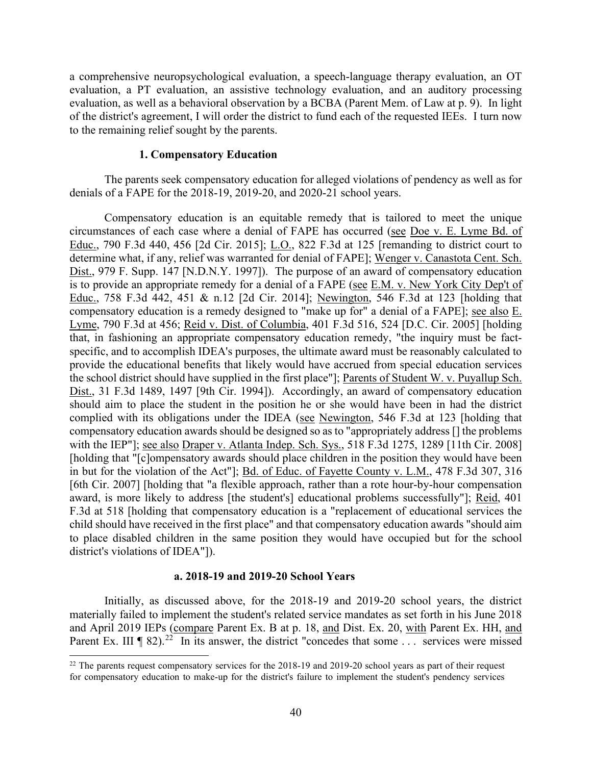evaluation, as well as a behavioral observation by a BCBA (Parent Mem. of Law at p. 9). In light of the district's agreement, I will order the district to fund each of the requested IEEs. I turn now a comprehensive neuropsychological evaluation, a speech-language therapy evaluation, an OT evaluation, a PT evaluation, an assistive technology evaluation, and an auditory processing to the remaining relief sought by the parents.

#### **1. Compensatory Education**

 The parents seek compensatory education for alleged violations of pendency as well as for denials of a FAPE for the 2018-19, 2019-20, and 2020-21 school years.

circumstances of each case where a denial of FAPE has occurred (see Doe v. E. Lyme Bd. of the school district should have supplied in the first place"]; Parents of Student W. v. Puyallup Sch. award, is more likely to address [the student's] educational problems successfully"]; Reid, 401 Compensatory education is an equitable remedy that is tailored to meet the unique Educ., 790 F.3d 440, 456 [2d Cir. 2015]; L.O., 822 F.3d at 125 [remanding to district court to determine what, if any, relief was warranted for denial of FAPE]; Wenger v. Canastota Cent. Sch. Dist., 979 F. Supp. 147 [N.D.N.Y. 1997]). The purpose of an award of compensatory education is to provide an appropriate remedy for a denial of a FAPE (see E.M. v. New York City Dep't of Educ., 758 F.3d 442, 451 & n.12 [2d Cir. 2014]; Newington, 546 F.3d at 123 [holding that compensatory education is a remedy designed to "make up for" a denial of a FAPE]; see also E. Lyme, 790 F.3d at 456; Reid v. Dist. of Columbia, 401 F.3d 516, 524 [D.C. Cir. 2005] [holding that, in fashioning an appropriate compensatory education remedy, "the inquiry must be factspecific, and to accomplish IDEA's purposes, the ultimate award must be reasonably calculated to provide the educational benefits that likely would have accrued from special education services Dist., 31 F.3d 1489, 1497 [9th Cir. 1994]). Accordingly, an award of compensatory education should aim to place the student in the position he or she would have been in had the district complied with its obligations under the IDEA (see Newington, 546 F.3d at 123 [holding that compensatory education awards should be designed so as to "appropriately address [] the problems with the IEP"]; <u>see also Draper v. Atlanta Indep. Sch. Sys.</u>, 518 F.3d 1275, 1289 [11th Cir. 2008] [holding that "[c]ompensatory awards should place children in the position they would have been in but for the violation of the Act"]; Bd. of Educ. of Fayette County v. L.M., 478 F.3d 307, 316 [6th Cir. 2007] [holding that "a flexible approach, rather than a rote hour-by-hour compensation F.3d at 518 [holding that compensatory education is a "replacement of educational services the child should have received in the first place" and that compensatory education awards "should aim to place disabled children in the same position they would have occupied but for the school district's violations of IDEA"]).

#### **a. 2018-19 and 2019-20 School Years**

and April 2019 IEPs (compare Parent Ex. B at p. 18, and Dist. Ex. 20, with Parent Ex. HH, and Parent Ex. III  $\P$  82).<sup>[22](#page-39-0)</sup> In its answer, the district "concedes that some ... services were missed Initially, as discussed above, for the 2018-19 and 2019-20 school years, the district materially failed to implement the student's related service mandates as set forth in his June 2018

<span id="page-39-0"></span> $22$  The parents request compensatory services for the 2018-19 and 2019-20 school years as part of their request for compensatory education to make-up for the district's failure to implement the student's pendency services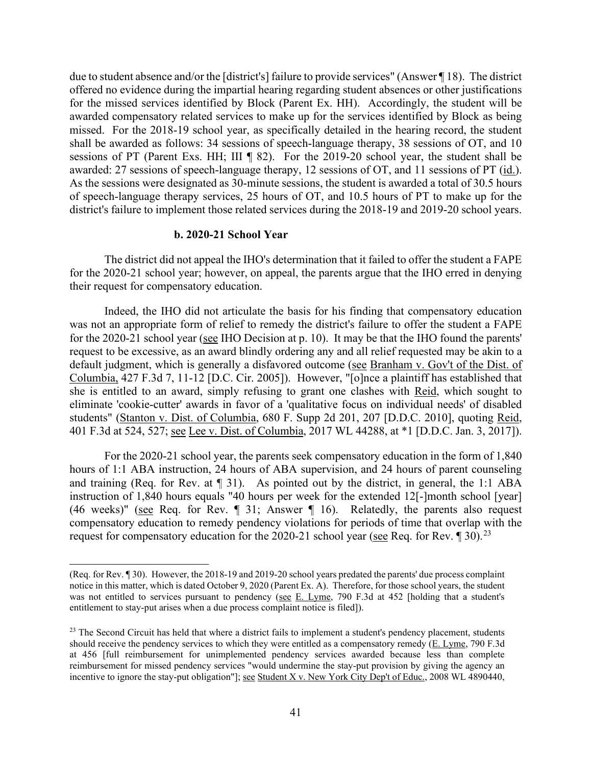for the missed services identified by Block (Parent Ex. HH). Accordingly, the student will be sessions of PT (Parent Exs. HH; III ¶ 82). For the 2019-20 school year, the student shall be awarded: 27 sessions of speech-language therapy, 12 sessions of OT, and 11 sessions of PT (id.). As the sessions were designated as 30-minute sessions, the student is awarded a total of 30.5 hours of speech-language therapy services, 25 hours of OT, and 10.5 hours of PT to make up for the due to student absence and/or the [district's] failure to provide services" (Answer ¶ 18). The district offered no evidence during the impartial hearing regarding student absences or other justifications awarded compensatory related services to make up for the services identified by Block as being missed. For the 2018-19 school year, as specifically detailed in the hearing record, the student shall be awarded as follows: 34 sessions of speech-language therapy, 38 sessions of OT, and 10 district's failure to implement those related services during the 2018-19 and 2019-20 school years.

#### **b. 2020-21 School Year**

The district did not appeal the IHO's determination that it failed to offer the student a FAPE for the 2020-21 school year; however, on appeal, the parents argue that the IHO erred in denying their request for compensatory education.

 Indeed, the IHO did not articulate the basis for his finding that compensatory education for the 2020-21 school year (see IHO Decision at p. 10). It may be that the IHO found the parents' Columbia, 427 F.3d 7, 11-12 [D.C. Cir. 2005]). However, "[o]nce a plaintiff has established that was not an appropriate form of relief to remedy the district's failure to offer the student a FAPE request to be excessive, as an award blindly ordering any and all relief requested may be akin to a default judgment, which is generally a disfavored outcome (see Branham v. Gov't of the Dist. of she is entitled to an award, simply refusing to grant one clashes with Reid, which sought to eliminate 'cookie-cutter' awards in favor of a 'qualitative focus on individual needs' of disabled students" (Stanton v. Dist. of Columbia, 680 F. Supp 2d 201, 207 [D.D.C. 2010], quoting Reid, 401 F.3d at 524, 527; see Lee v. Dist. of Columbia, 2017 WL 44288, at \*1 [D.D.C. Jan. 3, 2017]).

 hours of 1:1 ABA instruction, 24 hours of ABA supervision, and 24 hours of parent counseling and training (Req. for Rev. at ¶ 31). As pointed out by the district, in general, the 1:1 ABA instruction of 1,840 hours equals "40 hours per week for the extended 12[-]month school [year] (46 weeks)" (see Req. for Rev.  $\parallel$  31; Answer  $\parallel$  16). Relatedly, the parents also request request for compensatory education for the 2020-21 school year (see Req. for Rev.  $\llbracket 30$ ).<sup>[23](#page-40-0)</sup> For the 2020-21 school year, the parents seek compensatory education in the form of 1,840 compensatory education to remedy pendency violations for periods of time that overlap with the

 (Req. for Rev. ¶ 30). However, the 2018-19 and 2019-20 school years predated the parents' due process complaint was not entitled to services pursuant to pendency (see E. Lyme, 790 F.3d at 452 [holding that a student's notice in this matter, which is dated October 9, 2020 (Parent Ex. A). Therefore, for those school years, the student entitlement to stay-put arises when a due process complaint notice is filed]).

<span id="page-40-0"></span>incentive to ignore the stay-put obligation"]; <u>see Student X v. New York City Dep't of Educ.</u>, 2008 WL 4890440,  $23$  The Second Circuit has held that where a district fails to implement a student's pendency placement, students should receive the pendency services to which they were entitled as a compensatory remedy (E. Lyme, 790 F.3d at 456 [full reimbursement for unimplemented pendency services awarded because less than complete reimbursement for missed pendency services "would undermine the stay-put provision by giving the agency an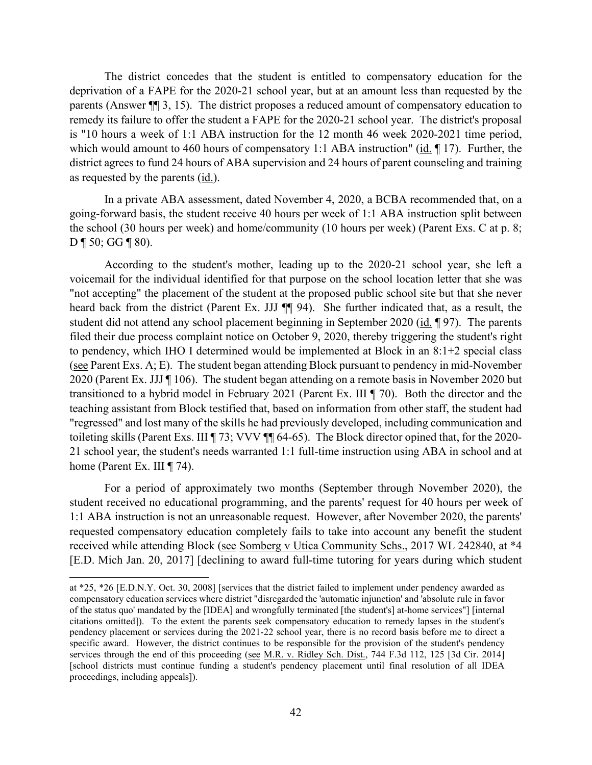deprivation of a FAPE for the 2020-21 school year, but at an amount less than requested by the parents (Answer ¶¶ 3, 15). The district proposes a reduced amount of compensatory education to is "10 hours a week of 1:1 ABA instruction for the 12 month 46 week 2020-2021 time period, district agrees to fund 24 hours of ABA supervision and 24 hours of parent counseling and training as requested by the parents (*id.*). The district concedes that the student is entitled to compensatory education for the remedy its failure to offer the student a FAPE for the 2020-21 school year. The district's proposal which would amount to 460 hours of compensatory 1:1 ABA instruction" (id.  $\parallel$  17). Further, the

 going-forward basis, the student receive 40 hours per week of 1:1 ABA instruction split between the school (30 hours per week) and home/community (10 hours per week) (Parent Exs. C at p. 8; In a private ABA assessment, dated November 4, 2020, a BCBA recommended that, on a  $D \P 50$ ; GG  $\P 80$ ).

 "not accepting" the placement of the student at the proposed public school site but that she never heard back from the district (Parent Ex. JJJ  $\P$  94). She further indicated that, as a result, the (see Parent Exs. A; E). The student began attending Block pursuant to pendency in mid-November 2020 (Parent Ex. JJJ ¶ 106). The student began attending on a remote basis in November 2020 but transitioned to a hybrid model in February 2021 (Parent Ex. III ¶ 70). Both the director and the toileting skills (Parent Exs. III ¶ 73; VVV ¶¶ 64-65). The Block director opined that, for the 2020 home (Parent Ex. III ¶ 74). According to the student's mother, leading up to the 2020-21 school year, she left a voicemail for the individual identified for that purpose on the school location letter that she was student did not attend any school placement beginning in September 2020 (id. ¶ 97). The parents filed their due process complaint notice on October 9, 2020, thereby triggering the student's right to pendency, which IHO I determined would be implemented at Block in an 8:1+2 special class teaching assistant from Block testified that, based on information from other staff, the student had "regressed" and lost many of the skills he had previously developed, including communication and 21 school year, the student's needs warranted 1:1 full-time instruction using ABA in school and at

 requested compensatory education completely fails to take into account any benefit the student For a period of approximately two months (September through November 2020), the student received no educational programming, and the parents' request for 40 hours per week of 1:1 ABA instruction is not an unreasonable request. However, after November 2020, the parents' received while attending Block (see Somberg v Utica Community Schs., 2017 WL 242840, at \*4 [E.D. Mich Jan. 20, 2017] [declining to award full-time tutoring for years during which student

 citations omitted]). To the extent the parents seek compensatory education to remedy lapses in the student's pendency placement or services during the 2021-22 school year, there is no record basis before me to direct a services through the end of this proceeding (see M.R. v. Ridley Sch. Dist., 744 F.3d 112, 125 [3d Cir. 2014] at \*25, \*26 [E.D.N.Y. Oct. 30, 2008] [services that the district failed to implement under pendency awarded as compensatory education services where district "disregarded the 'automatic injunction' and 'absolute rule in favor of the status quo' mandated by the [IDEA] and wrongfully terminated [the student's] at-home services"] [internal specific award. However, the district continues to be responsible for the provision of the student's pendency [school districts must continue funding a student's pendency placement until final resolution of all IDEA proceedings, including appeals]).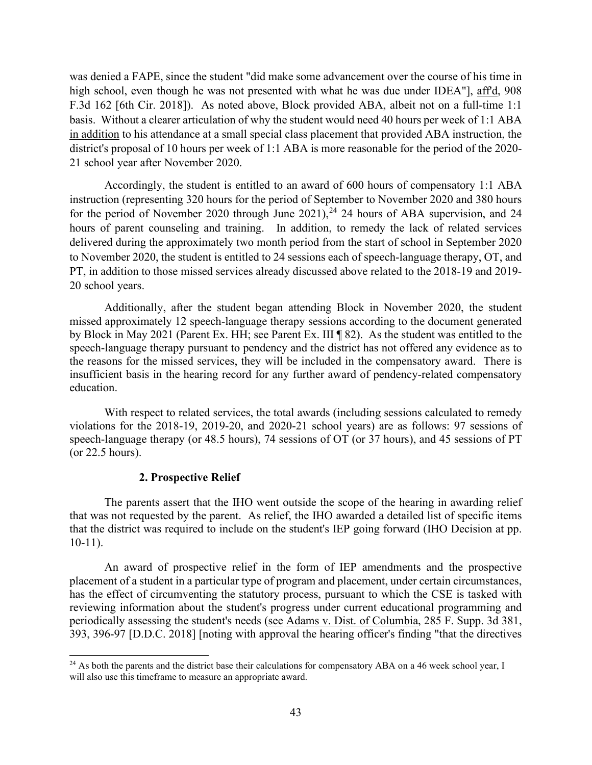high school, even though he was not presented with what he was due under IDEA"], aff'd, 908 F.3d 162 [6th Cir. 2018]). As noted above, Block provided ABA, albeit not on a full-time 1:1 21 school year after November 2020. was denied a FAPE, since the student "did make some advancement over the course of his time in basis. Without a clearer articulation of why the student would need 40 hours per week of 1:1 ABA in addition to his attendance at a small special class placement that provided ABA instruction, the district's proposal of 10 hours per week of 1:1 ABA is more reasonable for the period of the 2020-

for the period of November 2020 through June  $2021$ ,  $^{24}$  [24](#page-42-0) hours of ABA supervision, and 24 to November 2020, the student is entitled to 24 sessions each of speech-language therapy, OT, and Accordingly, the student is entitled to an award of 600 hours of compensatory 1:1 ABA instruction (representing 320 hours for the period of September to November 2020 and 380 hours hours of parent counseling and training. In addition, to remedy the lack of related services delivered during the approximately two month period from the start of school in September 2020 PT, in addition to those missed services already discussed above related to the 2018-19 and 2019- 20 school years.

 the reasons for the missed services, they will be included in the compensatory award. There is Additionally, after the student began attending Block in November 2020, the student missed approximately 12 speech-language therapy sessions according to the document generated by Block in May 2021 (Parent Ex. HH; see Parent Ex. III ¶ 82). As the student was entitled to the speech-language therapy pursuant to pendency and the district has not offered any evidence as to insufficient basis in the hearing record for any further award of pendency-related compensatory education.

 speech-language therapy (or 48.5 hours), 74 sessions of OT (or 37 hours), and 45 sessions of PT With respect to related services, the total awards (including sessions calculated to remedy violations for the 2018-19, 2019-20, and 2020-21 school years) are as follows: 97 sessions of (or 22.5 hours).

#### **2. Prospective Relief**

 The parents assert that the IHO went outside the scope of the hearing in awarding relief that was not requested by the parent. As relief, the IHO awarded a detailed list of specific items that the district was required to include on the student's IEP going forward (IHO Decision at pp. 10-11).

 has the effect of circumventing the statutory process, pursuant to which the CSE is tasked with An award of prospective relief in the form of IEP amendments and the prospective placement of a student in a particular type of program and placement, under certain circumstances, reviewing information about the student's progress under current educational programming and periodically assessing the student's needs (see Adams v. Dist. of Columbia, 285 F. Supp. 3d 381, 393, 396-97 [D.D.C. 2018] [noting with approval the hearing officer's finding "that the directives

<span id="page-42-0"></span> $^{24}$  As both the parents and the district base their calculations for compensatory ABA on a 46 week school year, I will also use this timeframe to measure an appropriate award.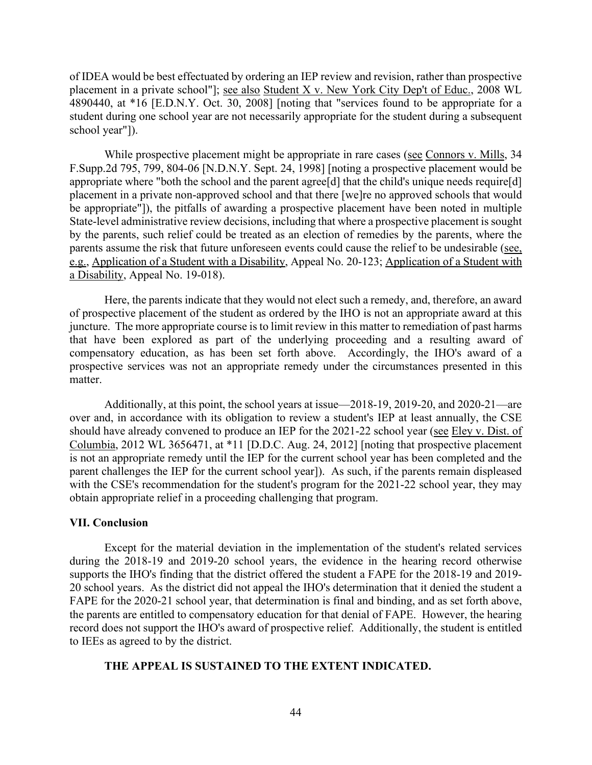of IDEA would be best effectuated by ordering an IEP review and revision, rather than prospective placement in a private school"]; see also Student X v. New York City Dep't of Educ., 2008 WL 4890440, at \*16 [E.D.N.Y. Oct. 30, 2008] [noting that "services found to be appropriate for a student during one school year are not necessarily appropriate for the student during a subsequent school year"]).

While prospective placement might be appropriate in rare cases (see Connors v. Mills, 34 parents assume the risk that future unforeseen events could cause the relief to be undesirable (see, [F.Supp.2d](https://F.Supp.2d) 795, 799, 804-06 [N.D.N.Y. Sept. 24, 1998] [noting a prospective placement would be appropriate where "both the school and the parent agree<sup>[d]</sup> that the child's unique needs require<sup>[d]</sup> placement in a private non-approved school and that there [we]re no approved schools that would be appropriate"]), the pitfalls of awarding a prospective placement have been noted in multiple State-level administrative review decisions, including that where a prospective placement is sought by the parents, such relief could be treated as an election of remedies by the parents, where the e.g., Application of a Student with a Disability, Appeal No. 20-123; Application of a Student with a Disability, Appeal No. 19-018).

 Here, the parents indicate that they would not elect such a remedy, and, therefore, an award of prospective placement of the student as ordered by the IHO is not an appropriate award at this juncture. The more appropriate course is to limit review in this matter to remediation of past harms that have been explored as part of the underlying proceeding and a resulting award of compensatory education, as has been set forth above. Accordingly, the IHO's award of a prospective services was not an appropriate remedy under the circumstances presented in this matter.

Columbia, 2012 WL 3656471, at \*11 [D.D.C. Aug. 24, 2012] [noting that prospective placement Additionally, at this point, the school years at issue—2018-19, 2019-20, and 2020-21—are over and, in accordance with its obligation to review a student's IEP at least annually, the CSE should have already convened to produce an IEP for the 2021-22 school year (see Eley v. Dist. of is not an appropriate remedy until the IEP for the current school year has been completed and the parent challenges the IEP for the current school year]). As such, if the parents remain displeased with the CSE's recommendation for the student's program for the 2021-22 school year, they may obtain appropriate relief in a proceeding challenging that program.

#### **VII. Conclusion**

 Except for the material deviation in the implementation of the student's related services 20 school years. As the district did not appeal the IHO's determination that it denied the student a during the 2018-19 and 2019-20 school years, the evidence in the hearing record otherwise supports the IHO's finding that the district offered the student a FAPE for the 2018-19 and 2019- FAPE for the 2020-21 school year, that determination is final and binding, and as set forth above, the parents are entitled to compensatory education for that denial of FAPE. However, the hearing record does not support the IHO's award of prospective relief. Additionally, the student is entitled to IEEs as agreed to by the district.

# **THE APPEAL IS SUSTAINED TO THE EXTENT INDICATED.**